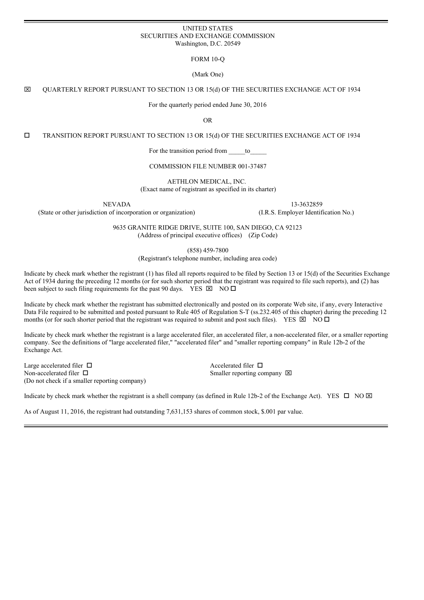#### UNITED STATES SECURITIES AND EXCHANGE COMMISSION Washington, D.C. 20549

FORM 10-Q

(Mark One)

x QUARTERLY REPORT PURSUANT TO SECTION 13 OR 15(d) OF THE SECURITIES EXCHANGE ACT OF 1934

For the quarterly period ended June 30, 2016

OR

o TRANSITION REPORT PURSUANT TO SECTION 13 OR 15(d) OF THE SECURITIES EXCHANGE ACT OF 1934

For the transition period from \_\_\_\_\_to\_

COMMISSION FILE NUMBER 001-37487

AETHLON MEDICAL, INC. (Exact name of registrant as specified in its charter)

(State or other jurisdiction of incorporation or organization) (I.R.S. Employer Identification No.)

NEVADA 13-3632859

9635 GRANITE RIDGE DRIVE, SUITE 100, SAN DIEGO, CA 92123 (Address of principal executive offices) (Zip Code)

(858) 459-7800

(Registrant's telephone number, including area code)

Indicate by check mark whether the registrant (1) has filed all reports required to be filed by Section 13 or 15(d) of the Securities Exchange Act of 1934 during the preceding 12 months (or for such shorter period that the registrant was required to file such reports), and (2) has been subject to such filing requirements for the past 90 days. YES  $\boxtimes$  NO  $\square$ 

Indicate by check mark whether the registrant has submitted electronically and posted on its corporate Web site, if any, every Interactive Data File required to be submitted and posted pursuant to Rule 405 of Regulation S-T (ss.232.405 of this chapter) during the preceding 12 months (or for such shorter period that the registrant was required to submit and post such files). YES  $\boxtimes$  NO  $\square$ 

Indicate by check mark whether the registrant is a large accelerated filer, an accelerated filer, a non-accelerated filer, or a smaller reporting company. See the definitions of "large accelerated filer," "accelerated filer" and "smaller reporting company" in Rule 12b-2 of the Exchange Act.

Large accelerated filer  $\Box$ Non-accelerated filer  $\Box$ (Do not check if a smaller reporting company)

Smaller reporting company  $\boxtimes$ 

Indicate by check mark whether the registrant is a shell company (as defined in Rule 12b-2 of the Exchange Act). YES  $\Box$  NO  $\boxtimes$ 

As of August 11, 2016, the registrant had outstanding 7,631,153 shares of common stock, \$.001 par value.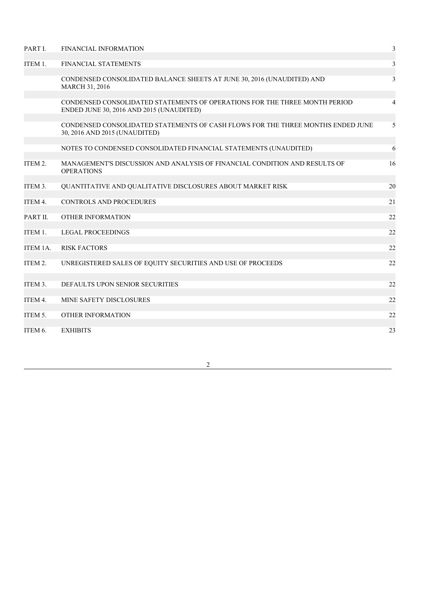| PART I.  | <b>FINANCIAL INFORMATION</b>                                                                                           | $\mathfrak{Z}$ |
|----------|------------------------------------------------------------------------------------------------------------------------|----------------|
| ITEM 1.  | FINANCIAL STATEMENTS                                                                                                   | $\mathfrak{Z}$ |
|          | CONDENSED CONSOLIDATED BALANCE SHEETS AT JUNE 30, 2016 (UNAUDITED) AND<br>MARCH 31, 2016                               | 3              |
|          | CONDENSED CONSOLIDATED STATEMENTS OF OPERATIONS FOR THE THREE MONTH PERIOD<br>ENDED JUNE 30, 2016 AND 2015 (UNAUDITED) | $\overline{4}$ |
|          | CONDENSED CONSOLIDATED STATEMENTS OF CASH FLOWS FOR THE THREE MONTHS ENDED JUNE<br>30, 2016 AND 2015 (UNAUDITED)       | 5              |
|          | NOTES TO CONDENSED CONSOLIDATED FINANCIAL STATEMENTS (UNAUDITED)                                                       | 6              |
| ITEM 2.  | MANAGEMENT'S DISCUSSION AND ANALYSIS OF FINANCIAL CONDITION AND RESULTS OF<br><b>OPERATIONS</b>                        | 16             |
| ITEM 3.  | QUANTITATIVE AND QUALITATIVE DISCLOSURES ABOUT MARKET RISK                                                             | 20             |
| ITEM 4.  | CONTROLS AND PROCEDURES                                                                                                | 21             |
| PART II. | <b>OTHER INFORMATION</b>                                                                                               | 22             |
| ITEM 1.  | <b>LEGAL PROCEEDINGS</b>                                                                                               | 22             |
| ITEM 1A. | <b>RISK FACTORS</b>                                                                                                    | 22             |
| ITEM 2.  | UNREGISTERED SALES OF EQUITY SECURITIES AND USE OF PROCEEDS                                                            | 22             |
| ITEM 3.  | DEFAULTS UPON SENIOR SECURITIES                                                                                        | 22             |
| ITEM 4.  | MINE SAFETY DISCLOSURES                                                                                                | 22             |
| ITEM 5.  | <b>OTHER INFORMATION</b>                                                                                               | 22             |
| ITEM 6.  | <b>EXHIBITS</b>                                                                                                        | 23             |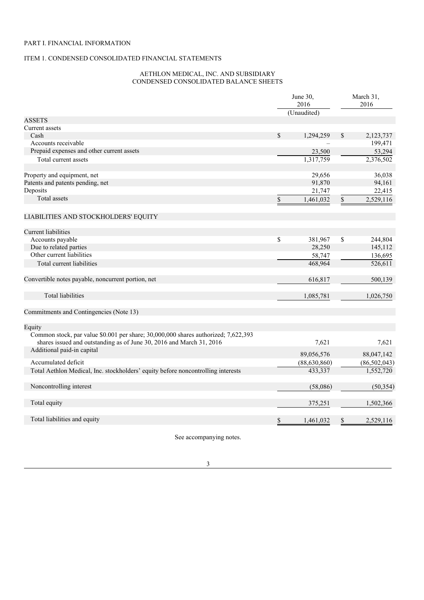# PART I. FINANCIAL INFORMATION

# ITEM 1. CONDENSED CONSOLIDATED FINANCIAL STATEMENTS

# AETHLON MEDICAL, INC. AND SUBSIDIARY CONDENSED CONSOLIDATED BALANCE SHEETS

|                                                                                                                                                            |             | June 30,<br>2016<br>(Unaudited) | March 31,<br>2016 |                |  |
|------------------------------------------------------------------------------------------------------------------------------------------------------------|-------------|---------------------------------|-------------------|----------------|--|
| <b>ASSETS</b>                                                                                                                                              |             |                                 |                   |                |  |
| Current assets                                                                                                                                             |             |                                 |                   |                |  |
| Cash                                                                                                                                                       | $\mathbf S$ | 1,294,259                       | \$                | 2,123,737      |  |
| Accounts receivable                                                                                                                                        |             |                                 |                   | 199,471        |  |
| Prepaid expenses and other current assets                                                                                                                  |             | 23,500                          |                   | 53,294         |  |
| Total current assets                                                                                                                                       |             | 1,317,759                       |                   | 2,376,502      |  |
| Property and equipment, net                                                                                                                                |             | 29,656                          |                   | 36,038         |  |
| Patents and patents pending, net                                                                                                                           |             | 91,870                          |                   | 94,161         |  |
| Deposits                                                                                                                                                   |             | 21,747                          |                   | 22,415         |  |
| Total assets                                                                                                                                               | \$          | 1,461,032                       | \$                | 2,529,116      |  |
| LIABILITIES AND STOCKHOLDERS' EQUITY                                                                                                                       |             |                                 |                   |                |  |
| <b>Current liabilities</b>                                                                                                                                 |             |                                 |                   |                |  |
| Accounts payable                                                                                                                                           | \$          | 381,967                         | \$                | 244,804        |  |
| Due to related parties                                                                                                                                     |             | 28,250                          |                   | 145,112        |  |
| Other current liabilities                                                                                                                                  |             | 58,747                          |                   | 136,695        |  |
| Total current liabilities                                                                                                                                  |             | 468,964                         |                   | 526,611        |  |
| Convertible notes payable, noncurrent portion, net                                                                                                         |             | 616,817                         |                   | 500,139        |  |
| <b>Total liabilities</b>                                                                                                                                   |             | 1,085,781                       |                   | 1,026,750      |  |
| Commitments and Contingencies (Note 13)                                                                                                                    |             |                                 |                   |                |  |
| Equity                                                                                                                                                     |             |                                 |                   |                |  |
| Common stock, par value \$0.001 per share; 30,000,000 shares authorized; 7,622,393<br>shares issued and outstanding as of June 30, 2016 and March 31, 2016 |             | 7,621                           |                   | 7,621          |  |
| Additional paid-in capital                                                                                                                                 |             | 89,056,576                      |                   | 88,047,142     |  |
| Accumulated deficit                                                                                                                                        |             | (88, 630, 860)                  |                   | (86, 502, 043) |  |
| Total Aethlon Medical, Inc. stockholders' equity before noncontrolling interests                                                                           |             | 433,337                         |                   | 1,552,720      |  |
| Noncontrolling interest                                                                                                                                    |             | (58,086)                        |                   | (50, 354)      |  |
| Total equity                                                                                                                                               |             | 375,251                         |                   | 1,502,366      |  |
| Total liabilities and equity                                                                                                                               | \$          | 1,461,032                       | \$                | 2,529,116      |  |

See accompanying notes.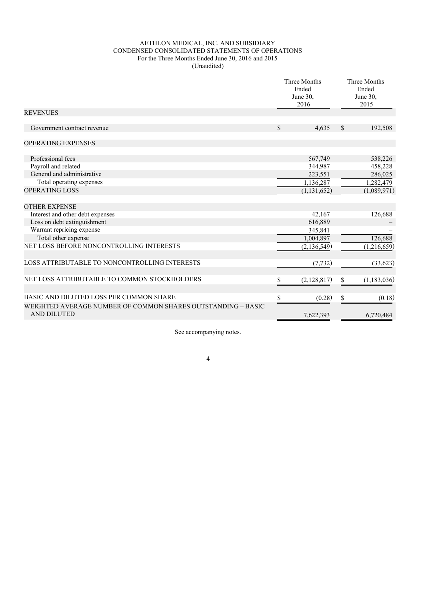## AETHLON MEDICAL, INC. AND SUBSIDIARY CONDENSED CONSOLIDATED STATEMENTS OF OPERATIONS For the Three Months Ended June 30, 2016 and 2015 (Unaudited)

|                                                                                    |               | Three Months<br>Ended<br>June 30,<br>2016 |               | Three Months<br>Ended<br>June 30,<br>2015 |
|------------------------------------------------------------------------------------|---------------|-------------------------------------------|---------------|-------------------------------------------|
| <b>REVENUES</b>                                                                    |               |                                           |               |                                           |
| Government contract revenue                                                        | $\mathcal{S}$ | 4,635                                     | <sup>\$</sup> | 192,508                                   |
| <b>OPERATING EXPENSES</b>                                                          |               |                                           |               |                                           |
| Professional fees                                                                  |               | 567,749                                   |               | 538,226                                   |
| Payroll and related                                                                |               | 344,987                                   |               | 458,228                                   |
| General and administrative                                                         |               | 223,551                                   |               | 286,025                                   |
| Total operating expenses                                                           |               | 1,136,287                                 |               | 1,282,479                                 |
| <b>OPERATING LOSS</b>                                                              |               | (1, 131, 652)                             |               | (1,089,971)                               |
| <b>OTHER EXPENSE</b>                                                               |               |                                           |               |                                           |
| Interest and other debt expenses                                                   |               | 42,167                                    |               | 126,688                                   |
| Loss on debt extinguishment                                                        |               | 616,889                                   |               |                                           |
| Warrant repricing expense                                                          |               | 345,841                                   |               |                                           |
| Total other expense                                                                |               | 1,004,897                                 |               | 126,688                                   |
| NET LOSS BEFORE NONCONTROLLING INTERESTS                                           |               | (2, 136, 549)                             |               | (1,216,659)                               |
| LOSS ATTRIBUTABLE TO NONCONTROLLING INTERESTS                                      |               | (7, 732)                                  |               | (33, 623)                                 |
| NET LOSS ATTRIBUTABLE TO COMMON STOCKHOLDERS                                       | S.            | (2,128,817)                               | \$            | (1,183,036)                               |
| BASIC AND DILUTED LOSS PER COMMON SHARE                                            | \$            | (0.28)                                    | \$            | (0.18)                                    |
| WEIGHTED AVERAGE NUMBER OF COMMON SHARES OUTSTANDING - BASIC<br><b>AND DILUTED</b> |               | 7,622,393                                 |               | 6,720,484                                 |
|                                                                                    |               |                                           |               |                                           |

See accompanying notes.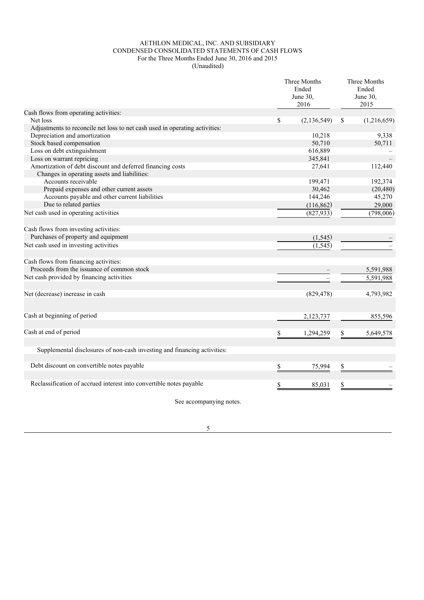### AETHLON MEDICAL, INC. AND SUBSIDIARY CONDENSED CONSOLIDATED STATEMENTS OF CASH FLOWS For the Three Months Ended June 30, 2016 and 2015 (Unaudited)

|                                                                             | Three Months<br>Ended<br>June 30,<br>2016 |    | Three Months<br>Ended<br>June 30,<br>2015 |
|-----------------------------------------------------------------------------|-------------------------------------------|----|-------------------------------------------|
| Cash flows from operating activities:                                       |                                           |    |                                           |
| Net loss                                                                    | \$<br>(2, 136, 549)                       | \$ | (1,216,659)                               |
| Adjustments to reconcile net loss to net cash used in operating activities: |                                           |    |                                           |
| Depreciation and amortization                                               | 10,218                                    |    | 9,338                                     |
| Stock based compensation                                                    | 50,710                                    |    | 50,711                                    |
| Loss on debt extinguishment                                                 | 616,889                                   |    |                                           |
| Loss on warrant repricing                                                   | 345,841                                   |    |                                           |
| Amortization of debt discount and deferred financing costs                  | 27,641                                    |    | 112,440                                   |
| Changes in operating assets and liabilities:                                |                                           |    |                                           |
| Accounts receivable                                                         | 199,471                                   |    | 192,374                                   |
| Prepaid expenses and other current assets                                   | 30,462                                    |    | (20, 480)                                 |
| Accounts payable and other current liabilities                              | 144,246                                   |    | 45,270                                    |
| Due to related parties                                                      | (116, 862)                                |    | 29,000                                    |
| Net cash used in operating activities                                       | (827, 933)                                |    | (798,006)                                 |
| Cash flows from investing activities:                                       |                                           |    |                                           |
| Purchases of property and equipment                                         | (1, 545)                                  |    |                                           |
| Net cash used in investing activities                                       | (1, 545)                                  |    |                                           |
| Cash flows from financing activities:                                       |                                           |    |                                           |
| Proceeds from the issuance of common stock                                  |                                           |    | 5,591,988                                 |
| Net cash provided by financing activities                                   |                                           |    | 5,591,988                                 |
| Net (decrease) increase in cash                                             | (829, 478)                                |    | 4,793,982                                 |
| Cash at beginning of period                                                 | 2,123,737                                 |    | 855,596                                   |
|                                                                             |                                           |    |                                           |
| Cash at end of period                                                       | \$<br>1,294,259                           | \$ | 5,649,578                                 |
| Supplemental disclosures of non-cash investing and financing activities:    |                                           |    |                                           |
| Debt discount on convertible notes payable                                  | \$<br>75,994                              | \$ |                                           |
| Reclassification of accrued interest into convertible notes payable         |                                           |    |                                           |
|                                                                             | \$<br>85,031                              | \$ |                                           |

See accompanying notes.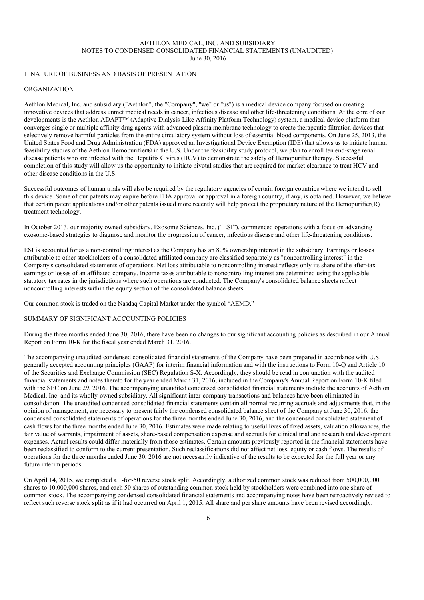## AETHLON MEDICAL, INC. AND SUBSIDIARY NOTES TO CONDENSED CONSOLIDATED FINANCIAL STATEMENTS (UNAUDITED) June 30, 2016

## 1. NATURE OF BUSINESS AND BASIS OF PRESENTATION

# ORGANIZATION

Aethlon Medical, Inc. and subsidiary ("Aethlon", the "Company", "we" or "us") is a medical device company focused on creating innovative devices that address unmet medical needs in cancer, infectious disease and other life-threatening conditions. At the core of our developments is the Aethlon ADAPT™ (Adaptive Dialysis-Like Affinity Platform Technology) system, a medical device platform that converges single or multiple affinity drug agents with advanced plasma membrane technology to create therapeutic filtration devices that selectively remove harmful particles from the entire circulatory system without loss of essential blood components. On June 25, 2013, the United States Food and Drug Administration (FDA) approved an Investigational Device Exemption (IDE) that allows us to initiate human feasibility studies of the Aethlon Hemopurifier® in the U.S. Under the feasibility study protocol, we plan to enroll ten end-stage renal disease patients who are infected with the Hepatitis C virus (HCV) to demonstrate the safety of Hemopurifier therapy. Successful completion of this study will allow us the opportunity to initiate pivotal studies that are required for market clearance to treat HCV and other disease conditions in the U.S.

Successful outcomes of human trials will also be required by the regulatory agencies of certain foreign countries where we intend to sell this device. Some of our patents may expire before FDA approval or approval in a foreign country, if any, is obtained. However, we believe that certain patent applications and/or other patents issued more recently will help protect the proprietary nature of the Hemopurifier(R) treatment technology.

In October 2013, our majority owned subsidiary, Exosome Sciences, Inc. ("ESI"), commenced operations with a focus on advancing exosome-based strategies to diagnose and monitor the progression of cancer, infectious disease and other life-threatening conditions.

ESI is accounted for as a non-controlling interest as the Company has an 80% ownership interest in the subsidiary. Earnings or losses attributable to other stockholders of a consolidated affiliated company are classified separately as "noncontrolling interest" in the Company's consolidated statements of operations. Net loss attributable to noncontrolling interest reflects only its share of the after-tax earnings or losses of an affiliated company. Income taxes attributable to noncontrolling interest are determined using the applicable statutory tax rates in the jurisdictions where such operations are conducted. The Company's consolidated balance sheets reflect noncontrolling interests within the equity section of the consolidated balance sheets.

Our common stock is traded on the Nasdaq Capital Market under the symbol "AEMD."

## SUMMARY OF SIGNIFICANT ACCOUNTING POLICIES

During the three months ended June 30, 2016, there have been no changes to our significant accounting policies as described in our Annual Report on Form 10-K for the fiscal year ended March 31, 2016.

The accompanying unaudited condensed consolidated financial statements of the Company have been prepared in accordance with U.S. generally accepted accounting principles (GAAP) for interim financial information and with the instructions to Form 10-Q and Article 10 of the Securities and Exchange Commission (SEC) Regulation S-X. Accordingly, they should be read in conjunction with the audited financial statements and notes thereto for the year ended March 31, 2016, included in the Company's Annual Report on Form 10-K filed with the SEC on June 29, 2016. The accompanying unaudited condensed consolidated financial statements include the accounts of Aethlon Medical, Inc. and its wholly-owned subsidiary. All significant inter-company transactions and balances have been eliminated in consolidation. The unaudited condensed consolidated financial statements contain all normal recurring accruals and adjustments that, in the opinion of management, are necessary to present fairly the condensed consolidated balance sheet of the Company at June 30, 2016, the condensed consolidated statements of operations for the three months ended June 30, 2016, and the condensed consolidated statement of cash flows for the three months ended June 30, 2016. Estimates were made relating to useful lives of fixed assets, valuation allowances, the fair value of warrants, impairment of assets, share-based compensation expense and accruals for clinical trial and research and development expenses. Actual results could differ materially from those estimates. Certain amounts previously reported in the financial statements have been reclassified to conform to the current presentation. Such reclassifications did not affect net loss, equity or cash flows. The results of operations for the three months ended June 30, 2016 are not necessarily indicative of the results to be expected for the full year or any future interim periods.

On April 14, 2015, we completed a 1-for-50 reverse stock split. Accordingly, authorized common stock was reduced from 500,000,000 shares to 10,000,000 shares, and each 50 shares of outstanding common stock held by stockholders were combined into one share of common stock. The accompanying condensed consolidated financial statements and accompanying notes have been retroactively revised to reflect such reverse stock split as if it had occurred on April 1, 2015. All share and per share amounts have been revised accordingly.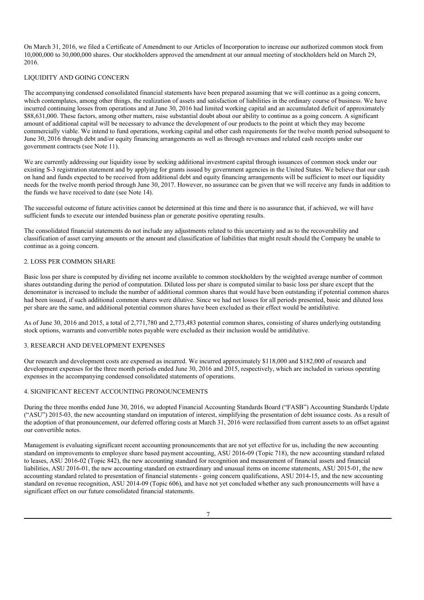On March 31, 2016, we filed a Certificate of Amendment to our Articles of Incorporation to increase our authorized common stock from 10,000,000 to 30,000,000 shares. Our stockholders approved the amendment at our annual meeting of stockholders held on March 29, 2016.

## LIQUIDITY AND GOING CONCERN

The accompanying condensed consolidated financial statements have been prepared assuming that we will continue as a going concern, which contemplates, among other things, the realization of assets and satisfaction of liabilities in the ordinary course of business. We have incurred continuing losses from operations and at June 30, 2016 had limited working capital and an accumulated deficit of approximately \$88,631,000. These factors, among other matters, raise substantial doubt about our ability to continue as a going concern. A significant amount of additional capital will be necessary to advance the development of our products to the point at which they may become commercially viable. We intend to fund operations, working capital and other cash requirements for the twelve month period subsequent to June 30, 2016 through debt and/or equity financing arrangements as well as through revenues and related cash receipts under our government contracts (see Note 11).

We are currently addressing our liquidity issue by seeking additional investment capital through issuances of common stock under our existing S-3 registration statement and by applying for grants issued by government agencies in the United States. We believe that our cash on hand and funds expected to be received from additional debt and equity financing arrangements will be sufficient to meet our liquidity needs for the twelve month period through June 30, 2017. However, no assurance can be given that we will receive any funds in addition to the funds we have received to date (see Note 14).

The successful outcome of future activities cannot be determined at this time and there is no assurance that, if achieved, we will have sufficient funds to execute our intended business plan or generate positive operating results.

The consolidated financial statements do not include any adjustments related to this uncertainty and as to the recoverability and classification of asset carrying amounts or the amount and classification of liabilities that might result should the Company be unable to continue as a going concern.

# 2. LOSS PER COMMON SHARE

Basic loss per share is computed by dividing net income available to common stockholders by the weighted average number of common shares outstanding during the period of computation. Diluted loss per share is computed similar to basic loss per share except that the denominator is increased to include the number of additional common shares that would have been outstanding if potential common shares had been issued, if such additional common shares were dilutive. Since we had net losses for all periods presented, basic and diluted loss per share are the same, and additional potential common shares have been excluded as their effect would be antidilutive.

As of June 30, 2016 and 2015, a total of 2,771,780 and 2,773,483 potential common shares, consisting of shares underlying outstanding stock options, warrants and convertible notes payable were excluded as their inclusion would be antidilutive.

### 3. RESEARCH AND DEVELOPMENT EXPENSES

Our research and development costs are expensed as incurred. We incurred approximately \$118,000 and \$182,000 of research and development expenses for the three month periods ended June 30, 2016 and 2015, respectively, which are included in various operating expenses in the accompanying condensed consolidated statements of operations.

### 4. SIGNIFICANT RECENT ACCOUNTING PRONOUNCEMENTS

During the three months ended June 30, 2016, we adopted Financial Accounting Standards Board ("FASB") Accounting Standards Update ("ASU") 2015-03, the new accounting standard on imputation of interest, simplifying the presentation of debt issuance costs. As a result of the adoption of that pronouncement, our deferred offering costs at March 31, 2016 were reclassified from current assets to an offset against our convertible notes.

Management is evaluating significant recent accounting pronouncements that are not yet effective for us, including the new accounting standard on improvements to employee share based payment accounting, ASU 2016-09 (Topic 718), the new accounting standard related to leases, ASU 2016-02 (Topic 842), the new accounting standard for recognition and measurement of financial assets and financial liabilities, ASU 2016-01, the new accounting standard on extraordinary and unusual items on income statements, ASU 2015-01, the new accounting standard related to presentation of financial statements - going concern qualifications, ASU 2014-15, and the new accounting standard on revenue recognition, ASU 2014-09 (Topic 606), and have not yet concluded whether any such pronouncements will have a significant effect on our future consolidated financial statements.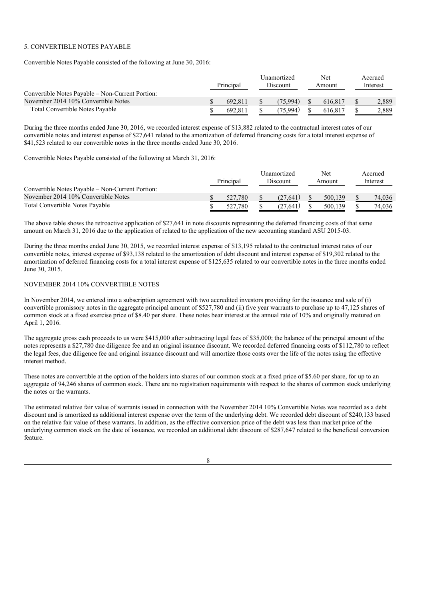## 5. CONVERTIBLE NOTES PAYABLE

Convertible Notes Payable consisted of the following at June 30, 2016:

|                                                  | Principal | Unamortized<br>Discount | Net<br>Amount | Accrued<br>Interest |
|--------------------------------------------------|-----------|-------------------------|---------------|---------------------|
| Convertible Notes Payable – Non-Current Portion: |           |                         |               |                     |
| November 2014 10% Convertible Notes              | 692.811   | (75.994)                | 616.817       | 2.889               |
| <b>Total Convertible Notes Payable</b>           | 692.811   | (75.994)                | 616.817       | 2.889               |

During the three months ended June 30, 2016, we recorded interest expense of \$13,882 related to the contractual interest rates of our convertible notes and interest expense of \$27,641 related to the amortization of deferred financing costs for a total interest expense of \$41,523 related to our convertible notes in the three months ended June 30, 2016.

Convertible Notes Payable consisted of the following at March 31, 2016:

|                                                  |           | Unamortized     | Net.    | Accrued  |
|--------------------------------------------------|-----------|-----------------|---------|----------|
|                                                  | Principal | <b>Discount</b> | Amount  | Interest |
| Convertible Notes Payable – Non-Current Portion: |           |                 |         |          |
| November 2014 10% Convertible Notes              | 527.780   | (27.641)        | 500,139 | 74.036   |
| Total Convertible Notes Payable                  | 527.780   | (27.641)        | 500.139 | 74,036   |

The above table shows the retroactive application of \$27,641 in note discounts representing the deferred financing costs of that same amount on March 31, 2016 due to the application of related to the application of the new accounting standard ASU 2015-03.

During the three months ended June 30, 2015, we recorded interest expense of \$13,195 related to the contractual interest rates of our convertible notes, interest expense of \$93,138 related to the amortization of debt discount and interest expense of \$19,302 related to the amortization of deferred financing costs for a total interest expense of \$125,635 related to our convertible notes in the three months ended June 30, 2015.

## NOVEMBER 2014 10% CONVERTIBLE NOTES

In November 2014, we entered into a subscription agreement with two accredited investors providing for the issuance and sale of (i) convertible promissory notes in the aggregate principal amount of \$527,780 and (ii) five year warrants to purchase up to 47,125 shares of common stock at a fixed exercise price of \$8.40 per share. These notes bear interest at the annual rate of 10% and originally matured on April 1, 2016.

The aggregate gross cash proceeds to us were \$415,000 after subtracting legal fees of \$35,000; the balance of the principal amount of the notes represents a \$27,780 due diligence fee and an original issuance discount. We recorded deferred financing costs of \$112,780 to reflect the legal fees, due diligence fee and original issuance discount and will amortize those costs over the life of the notes using the effective interest method.

These notes are convertible at the option of the holders into shares of our common stock at a fixed price of \$5.60 per share, for up to an aggregate of 94,246 shares of common stock. There are no registration requirements with respect to the shares of common stock underlying the notes or the warrants.

The estimated relative fair value of warrants issued in connection with the November 2014 10% Convertible Notes was recorded as a debt discount and is amortized as additional interest expense over the term of the underlying debt. We recorded debt discount of \$240,133 based on the relative fair value of these warrants. In addition, as the effective conversion price of the debt was less than market price of the underlying common stock on the date of issuance, we recorded an additional debt discount of \$287,647 related to the beneficial conversion feature.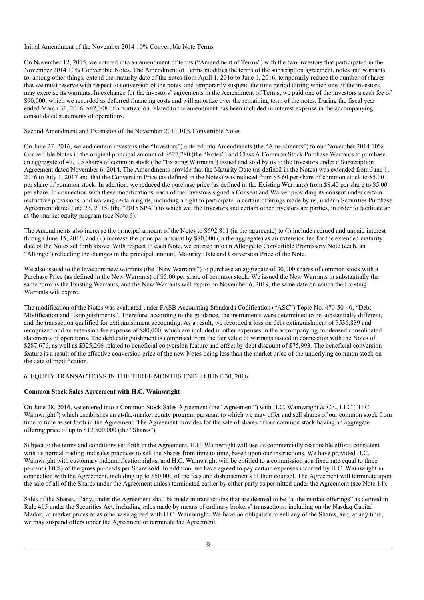#### Initial Amendment of the November 2014 10% Convertible Note Terms

On November 12, 2015, we entered into an amendment of terms ("Amendment of Terms") with the two investors that participated in the November 2014 10% Convertible Notes. The Amendment of Terms modifies the terms of the subscription agreement, notes and warrants to, among other things, extend the maturity date of the notes from April 1, 2016 to June 1, 2016, temporarily reduce the number of shares that we must reserve with respect to conversion of the notes, and temporarily suspend the time period during which one of the investors may exercise its warrants. In exchange for the investors' agreements in the Amendment of Terms, we paid one of the investors a cash fee of \$90,000, which we recorded as deferred financing costs and will amortize over the remaining term of the notes. During the fiscal year ended March 31, 2016, \$62,308 of amortization related to the amendment has been included in interest expense in the accompanying consolidated statements of operations.

#### Second Amendment and Extension of the November 2014 10% Convertible Notes

On June 27, 2016, we and certain investors (the "Investors") entered into Amendments (the "Amendments") to our November 2014 10% Convertible Notes in the original principal amount of \$527,780 (the "Notes") and Class A Common Stock Purchase Warrants to purchase an aggregate of 47,125 shares of common stock (the "Existing Warrants") issued and sold by us to the Investors under a Subscription Agreement dated November 6, 2014. The Amendments provide that the Maturity Date (as defined in the Notes) was extended from June 1, 2016 to July 1, 2017 and that the Conversion Price (as defined in the Notes) was reduced from \$5.60 per share of common stock to \$5.00 per share of common stock. In addition, we reduced the purchase price (as defined in the Existing Warrants) from \$8.40 per share to \$5.00 per share. In connection with these modifications, each of the Investors signed a Consent and Waiver providing its consent under certain restrictive provisions, and waiving certain rights, including a right to participate in certain offerings made by us, under a Securities Purchase Agreement dated June 23, 2015, (the "2015 SPA") to which we, the Investors and certain other investors are parties, in order to facilitate an at-the-market equity program (see Note 6).

The Amendments also increase the principal amount of the Notes to \$692,811 (in the aggregate) to (i) include accrued and unpaid interest through June 15, 2016, and (ii) increase the principal amount by \$80,000 (in the aggregate) as an extension fee for the extended maturity date of the Notes set forth above. With respect to each Note, we entered into an Allonge to Convertible Promissory Note (each, an "Allonge") reflecting the changes in the principal amount, Maturity Date and Conversion Price of the Note.

We also issued to the Investors new warrants (the "New Warrants") to purchase an aggregate of 30,000 shares of common stock with a Purchase Price (as defined in the New Warrants) of \$5.00 per share of common stock. We issued the New Warrants in substantially the same form as the Existing Warrants, and the New Warrants will expire on November 6, 2019, the same date on which the Existing Warrants will expire.

The modification of the Notes was evaluated under FASB Accounting Standards Codification ("ASC") Topic No. 470-50-40, "Debt Modification and Extinguishments". Therefore, according to the guidance, the instruments were determined to be substantially different, and the transaction qualified for extinguishment accounting. As a result, we recorded a loss on debt extinguishment of \$536,889 and recognized and an extension fee expense of \$80,000, which are included in other expenses in the accompanying condensed consolidated statements of operations. The debt extinguishment is comprised from the fair value of warrants issued in connection with the Notes of \$287,676, as well as \$325,206 related to beneficial conversion feature and offset by debt discount of \$75,993. The beneficial conversion feature is a result of the effective conversion price of the new Notes being less than the market price of the underlying common stock on the date of modification.

## 6. EQUITY TRANSACTIONS IN THE THREE MONTHS ENDED JUNE 30, 2016

### **Common Stock Sales Agreement with H.C. Wainwright**

On June 28, 2016, we entered into a Common Stock Sales Agreement (the "Agreement") with H.C. Wainwright & Co., LLC ("H.C. Wainwright") which establishes an at-the-market equity program pursuant to which we may offer and sell shares of our common stock from time to time as set forth in the Agreement. The Agreement provides for the sale of shares of our common stock having an aggregate offering price of up to \$12,500,000 (the "Shares").

Subject to the terms and conditions set forth in the Agreement, H.C. Wainwright will use its commercially reasonable efforts consistent with its normal trading and sales practices to sell the Shares from time to time, based upon our instructions. We have provided H.C. Wainwright with customary indemnification rights, and H.C. Wainwright will be entitled to a commission at a fixed rate equal to three percent (3.0%) of the gross proceeds per Share sold. In addition, we have agreed to pay certain expenses incurred by H.C. Wainwright in connection with the Agreement, including up to \$50,000 of the fees and disbursements of their counsel. The Agreement will terminate upon the sale of all of the Shares under the Agreement unless terminated earlier by either party as permitted under the Agreement (see Note 14).

Sales of the Shares, if any, under the Agreement shall be made in transactions that are deemed to be "at the market offerings" as defined in Rule 415 under the Securities Act, including sales made by means of ordinary brokers' transactions, including on the Nasdaq Capital Market, at market prices or as otherwise agreed with H.C. Wainwright. We have no obligation to sell any of the Shares, and, at any time, we may suspend offers under the Agreement or terminate the Agreement.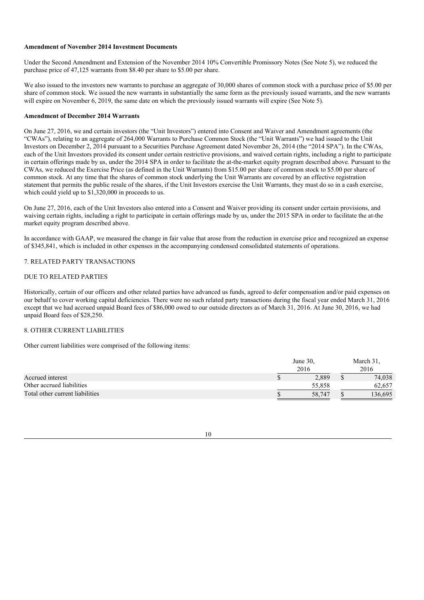### **Amendment of November 2014 Investment Documents**

Under the Second Amendment and Extension of the November 2014 10% Convertible Promissory Notes (See Note 5), we reduced the purchase price of 47,125 warrants from \$8.40 per share to \$5.00 per share.

We also issued to the investors new warrants to purchase an aggregate of 30,000 shares of common stock with a purchase price of \$5.00 per share of common stock. We issued the new warrants in substantially the same form as the previously issued warrants, and the new warrants will expire on November 6, 2019, the same date on which the previously issued warrants will expire (See Note 5).

#### **Amendment of December 2014 Warrants**

On June 27, 2016, we and certain investors (the "Unit Investors") entered into Consent and Waiver and Amendment agreements (the "CWAs"), relating to an aggregate of 264,000 Warrants to Purchase Common Stock (the "Unit Warrants") we had issued to the Unit Investors on December 2, 2014 pursuant to a Securities Purchase Agreement dated November 26, 2014 (the "2014 SPA"). In the CWAs, each of the Unit Investors provided its consent under certain restrictive provisions, and waived certain rights, including a right to participate in certain offerings made by us, under the 2014 SPA in order to facilitate the at-the-market equity program described above. Pursuant to the CWAs, we reduced the Exercise Price (as defined in the Unit Warrants) from \$15.00 per share of common stock to \$5.00 per share of common stock. At any time that the shares of common stock underlying the Unit Warrants are covered by an effective registration statement that permits the public resale of the shares, if the Unit Investors exercise the Unit Warrants, they must do so in a cash exercise, which could yield up to \$1,320,000 in proceeds to us.

On June 27, 2016, each of the Unit Investors also entered into a Consent and Waiver providing its consent under certain provisions, and waiving certain rights, including a right to participate in certain offerings made by us, under the 2015 SPA in order to facilitate the at-the market equity program described above.

In accordance with GAAP, we measured the change in fair value that arose from the reduction in exercise price and recognized an expense of \$345,841, which is included in other expenses in the accompanying condensed consolidated statements of operations.

#### 7. RELATED PARTY TRANSACTIONS

# DUE TO RELATED PARTIES

Historically, certain of our officers and other related parties have advanced us funds, agreed to defer compensation and/or paid expenses on our behalf to cover working capital deficiencies. There were no such related party transactions during the fiscal year ended March 31, 2016 except that we had accrued unpaid Board fees of \$86,000 owed to our outside directors as of March 31, 2016. At June 30, 2016, we had unpaid Board fees of \$28,250.

## 8. OTHER CURRENT LIABILITIES

Other current liabilities were comprised of the following items:

|                                 | June $30$ , | March 31. |
|---------------------------------|-------------|-----------|
|                                 | 2016        | 2016      |
| Accrued interest                | 2.889       | 74,038    |
| Other accrued liabilities       | 55.858      | 62.657    |
| Total other current liabilities | 58.747      | 136.695   |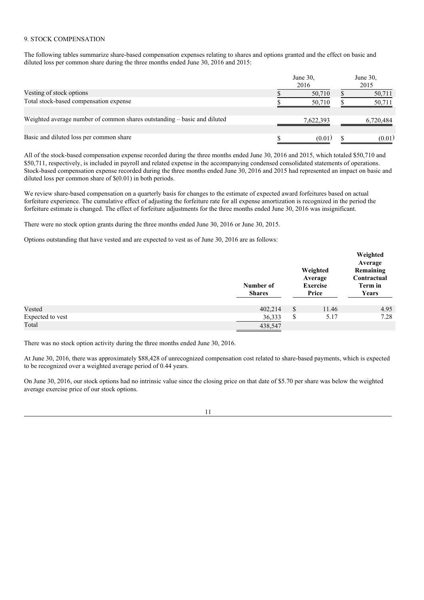#### 9. STOCK COMPENSATION

The following tables summarize share-based compensation expenses relating to shares and options granted and the effect on basic and diluted loss per common share during the three months ended June 30, 2016 and 2015:

|                                                                          | June 30,<br>2016 | June 30,<br>2015 |
|--------------------------------------------------------------------------|------------------|------------------|
| Vesting of stock options                                                 | 50,710           | 50,711           |
| Total stock-based compensation expense                                   | 50,710           | 50,711           |
| Weighted average number of common shares outstanding – basic and diluted | 7,622,393        | 6,720,484        |
| Basic and diluted loss per common share                                  | (0.01)           | (0.01)           |

All of the stock-based compensation expense recorded during the three months ended June 30, 2016 and 2015, which totaled \$50,710 and \$50,711, respectively, is included in payroll and related expense in the accompanying condensed consolidated statements of operations. Stock-based compensation expense recorded during the three months ended June 30, 2016 and 2015 had represented an impact on basic and diluted loss per common share of \$(0.01) in both periods.

We review share-based compensation on a quarterly basis for changes to the estimate of expected award forfeitures based on actual forfeiture experience. The cumulative effect of adjusting the forfeiture rate for all expense amortization is recognized in the period the forfeiture estimate is changed. The effect of forfeiture adjustments for the three months ended June 30, 2016 was insignificant.

There were no stock option grants during the three months ended June 30, 2016 or June 30, 2015.

Options outstanding that have vested and are expected to vest as of June 30, 2016 are as follows:

|                  | Number of<br><b>Shares</b> | Weighted<br>Average<br><b>Exercise</b><br>Price | Weighted<br>Average<br>Remaining<br>Contractual<br>Term in<br>Years |
|------------------|----------------------------|-------------------------------------------------|---------------------------------------------------------------------|
| Vested           | 402,214                    | \$<br>11.46                                     | 4.95                                                                |
| Expected to vest | 36,333                     | \$<br>5.17                                      | 7.28                                                                |
| Total            | 438,547                    |                                                 |                                                                     |

There was no stock option activity during the three months ended June 30, 2016.

At June 30, 2016, there was approximately \$88,428 of unrecognized compensation cost related to share-based payments, which is expected to be recognized over a weighted average period of 0.44 years.

On June 30, 2016, our stock options had no intrinsic value since the closing price on that date of \$5.70 per share was below the weighted average exercise price of our stock options.

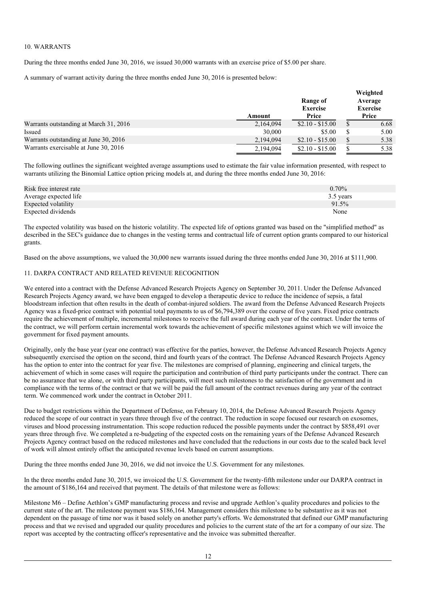## 10. WARRANTS

During the three months ended June 30, 2016, we issued 30,000 warrants with an exercise price of \$5.00 per share.

A summary of warrant activity during the three months ended June 30, 2016 is presented below:

|                                        | Amount    | Range of<br><b>Exercise</b><br>Price | Weighted<br>Average<br><b>Exercise</b><br>Price |
|----------------------------------------|-----------|--------------------------------------|-------------------------------------------------|
| Warrants outstanding at March 31, 2016 | 2,164,094 | $$2.10 - $15.00$                     | 6.68                                            |
| Issued                                 | 30,000    | \$5.00                               | 5.00                                            |
| Warrants outstanding at June 30, 2016  | 2,194,094 | $$2.10 - $15.00$                     | 5.38                                            |
| Warrants exercisable at June 30, 2016  | 2,194,094 | $$2.10 - $15.00$                     | 5.38                                            |

The following outlines the significant weighted average assumptions used to estimate the fair value information presented, with respect to warrants utilizing the Binomial Lattice option pricing models at, and during the three months ended June 30, 2016:

| Risk free interest rate | $0.70\%$  |
|-------------------------|-----------|
| Average expected life   | 3.5 years |
| Expected volatility     | 91.5%     |
| Expected dividends      | None      |

The expected volatility was based on the historic volatility. The expected life of options granted was based on the "simplified method" as described in the SEC's guidance due to changes in the vesting terms and contractual life of current option grants compared to our historical grants.

Based on the above assumptions, we valued the 30,000 new warrants issued during the three months ended June 30, 2016 at \$111,900.

## 11. DARPA CONTRACT AND RELATED REVENUE RECOGNITION

We entered into a contract with the Defense Advanced Research Projects Agency on September 30, 2011. Under the Defense Advanced Research Projects Agency award, we have been engaged to develop a therapeutic device to reduce the incidence of sepsis, a fatal bloodstream infection that often results in the death of combat-injured soldiers. The award from the Defense Advanced Research Projects Agency was a fixed-price contract with potential total payments to us of \$6,794,389 over the course of five years. Fixed price contracts require the achievement of multiple, incremental milestones to receive the full award during each year of the contract. Under the terms of the contract, we will perform certain incremental work towards the achievement of specific milestones against which we will invoice the government for fixed payment amounts.

Originally, only the base year (year one contract) was effective for the parties, however, the Defense Advanced Research Projects Agency subsequently exercised the option on the second, third and fourth years of the contract. The Defense Advanced Research Projects Agency has the option to enter into the contract for year five. The milestones are comprised of planning, engineering and clinical targets, the achievement of which in some cases will require the participation and contribution of third party participants under the contract. There can be no assurance that we alone, or with third party participants, will meet such milestones to the satisfaction of the government and in compliance with the terms of the contract or that we will be paid the full amount of the contract revenues during any year of the contract term. We commenced work under the contract in October 2011.

Due to budget restrictions within the Department of Defense, on February 10, 2014, the Defense Advanced Research Projects Agency reduced the scope of our contract in years three through five of the contract. The reduction in scope focused our research on exosomes, viruses and blood processing instrumentation. This scope reduction reduced the possible payments under the contract by \$858,491 over years three through five. We completed a re-budgeting of the expected costs on the remaining years of the Defense Advanced Research Projects Agency contract based on the reduced milestones and have concluded that the reductions in our costs due to the scaled back level of work will almost entirely offset the anticipated revenue levels based on current assumptions.

During the three months ended June 30, 2016, we did not invoice the U.S. Government for any milestones.

In the three months ended June 30, 2015, we invoiced the U.S. Government for the twenty-fifth milestone under our DARPA contract in the amount of \$186,164 and received that payment. The details of that milestone were as follows:

Milestone M6 – Define Aethlon's GMP manufacturing process and revise and upgrade Aethlon's quality procedures and policies to the current state of the art. The milestone payment was \$186,164. Management considers this milestone to be substantive as it was not dependent on the passage of time nor was it based solely on another party's efforts. We demonstrated that defined our GMP manufacturing process and that we revised and upgraded our quality procedures and policies to the current state of the art for a company of our size. The report was accepted by the contracting officer's representative and the invoice was submitted thereafter.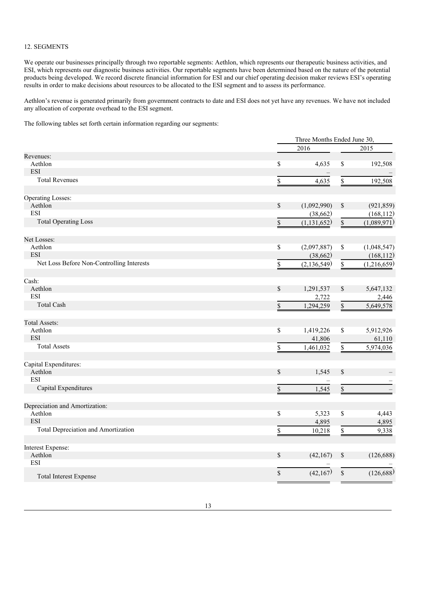## 12. SEGMENTS

We operate our businesses principally through two reportable segments: Aethlon, which represents our therapeutic business activities, and ESI, which represents our diagnostic business activities. Our reportable segments have been determined based on the nature of the potential products being developed. We record discrete financial information for ESI and our chief operating decision maker reviews ESI's operating results in order to make decisions about resources to be allocated to the ESI segment and to assess its performance.

Aethlon's revenue is generated primarily from government contracts to date and ESI does not yet have any revenues. We have not included any allocation of corporate overhead to the ESI segment.

The following tables set forth certain information regarding our segments:

|                                           | Three Months Ended June 30, |             |             |
|-------------------------------------------|-----------------------------|-------------|-------------|
|                                           | 2016                        |             | 2015        |
| Revenues:                                 |                             |             |             |
| Aethlon                                   | \$<br>4,635                 | \$          | 192,508     |
| <b>ESI</b>                                |                             |             |             |
| <b>Total Revenues</b>                     | \$<br>4,635                 | \$          | 192,508     |
| <b>Operating Losses:</b>                  |                             |             |             |
| Aethlon                                   | \$<br>(1,092,990)           | \$          | (921, 859)  |
| <b>ESI</b>                                | (38, 662)                   |             | (168, 112)  |
| <b>Total Operating Loss</b>               | \$<br>(1, 131, 652)         | $\mathbb S$ | (1,089,971) |
| Net Losses:                               |                             |             |             |
| Aethlon                                   | \$<br>(2,097,887)           | \$          | (1,048,547) |
| <b>ESI</b>                                | (38, 662)                   |             | (168, 112)  |
| Net Loss Before Non-Controlling Interests | \$<br>(2, 136, 549)         | \$          | (1,216,659) |
| Cash:                                     |                             |             |             |
| Aethlon                                   | \$<br>1,291,537             | \$          | 5,647,132   |
| <b>ESI</b>                                | 2,722                       |             | 2,446       |
| <b>Total Cash</b>                         | \$<br>1,294,259             | \$          | 5,649,578   |
| <b>Total Assets:</b>                      |                             |             |             |
| Aethlon                                   | \$<br>1,419,226             | \$          | 5,912,926   |
| <b>ESI</b>                                | 41,806                      |             | 61,110      |
| <b>Total Assets</b>                       | \$<br>1,461,032             | \$          | 5,974,036   |
| Capital Expenditures:                     |                             |             |             |
| Aethlon                                   | \$<br>1,545                 | \$          |             |
| <b>ESI</b>                                |                             |             |             |
| Capital Expenditures                      | \$<br>1,545                 | \$          |             |
| Depreciation and Amortization:            |                             |             |             |
| Aethlon                                   | \$<br>5,323                 | \$          | 4,443       |
| <b>ESI</b>                                | 4,895                       |             | 4,895       |
| Total Depreciation and Amortization       | \$<br>10,218                | \$          | 9,338       |
| Interest Expense:                         |                             |             |             |
| Aethlon                                   | \$<br>(42, 167)             | \$          | (126, 688)  |
| <b>ESI</b>                                |                             |             |             |
| <b>Total Interest Expense</b>             | \$<br>(42,167)              | \$          | (126,688)   |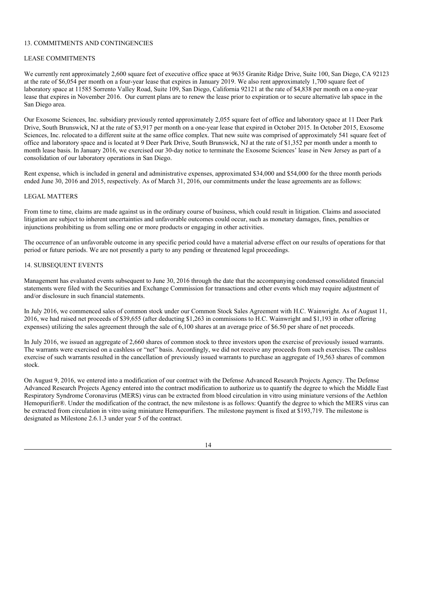## 13. COMMITMENTS AND CONTINGENCIES

## LEASE COMMITMENTS

We currently rent approximately 2,600 square feet of executive office space at 9635 Granite Ridge Drive, Suite 100, San Diego, CA 92123 at the rate of \$6,054 per month on a four-year lease that expires in January 2019. We also rent approximately 1,700 square feet of laboratory space at 11585 Sorrento Valley Road, Suite 109, San Diego, California 92121 at the rate of \$4,838 per month on a one-year lease that expires in November 2016. Our current plans are to renew the lease prior to expiration or to secure alternative lab space in the San Diego area.

Our Exosome Sciences, Inc. subsidiary previously rented approximately 2,055 square feet of office and laboratory space at 11 Deer Park Drive, South Brunswick, NJ at the rate of \$3,917 per month on a one-year lease that expired in October 2015. In October 2015, Exosome Sciences, Inc. relocated to a different suite at the same office complex. That new suite was comprised of approximately 541 square feet of office and laboratory space and is located at 9 Deer Park Drive, South Brunswick, NJ at the rate of \$1,352 per month under a month to month lease basis. In January 2016, we exercised our 30-day notice to terminate the Exosome Sciences' lease in New Jersey as part of a consolidation of our laboratory operations in San Diego.

Rent expense, which is included in general and administrative expenses, approximated \$34,000 and \$54,000 for the three month periods ended June 30, 2016 and 2015, respectively. As of March 31, 2016, our commitments under the lease agreements are as follows:

#### LEGAL MATTERS

From time to time, claims are made against us in the ordinary course of business, which could result in litigation. Claims and associated litigation are subject to inherent uncertainties and unfavorable outcomes could occur, such as monetary damages, fines, penalties or injunctions prohibiting us from selling one or more products or engaging in other activities.

The occurrence of an unfavorable outcome in any specific period could have a material adverse effect on our results of operations for that period or future periods. We are not presently a party to any pending or threatened legal proceedings.

## 14. SUBSEQUENT EVENTS

Management has evaluated events subsequent to June 30, 2016 through the date that the accompanying condensed consolidated financial statements were filed with the Securities and Exchange Commission for transactions and other events which may require adjustment of and/or disclosure in such financial statements.

In July 2016, we commenced sales of common stock under our Common Stock Sales Agreement with H.C. Wainwright. As of August 11, 2016, we had raised net proceeds of \$39,655 (after deducting \$1,263 in commissions to H.C. Wainwright and \$1,193 in other offering expenses) utilizing the sales agreement through the sale of 6,100 shares at an average price of \$6.50 per share of net proceeds.

In July 2016, we issued an aggregate of 2,660 shares of common stock to three investors upon the exercise of previously issued warrants. The warrants were exercised on a cashless or "net" basis. Accordingly, we did not receive any proceeds from such exercises. The cashless exercise of such warrants resulted in the cancellation of previously issued warrants to purchase an aggregate of 19,563 shares of common stock.

On August 9, 2016, we entered into a modification of our contract with the Defense Advanced Research Projects Agency. The Defense Advanced Research Projects Agency entered into the contract modification to authorize us to quantify the degree to which the Middle East Respiratory Syndrome Coronavirus (MERS) virus can be extracted from blood circulation in vitro using miniature versions of the Aethlon Hemopurifier®. Under the modification of the contract, the new milestone is as follows: Quantify the degree to which the MERS virus can be extracted from circulation in vitro using miniature Hemopurifiers. The milestone payment is fixed at \$193,719. The milestone is designated as Milestone 2.6.1.3 under year 5 of the contract.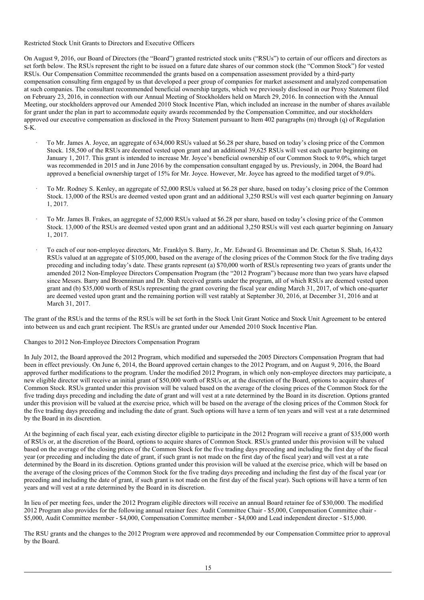### Restricted Stock Unit Grants to Directors and Executive Officers

On August 9, 2016, our Board of Directors (the "Board") granted restricted stock units ("RSUs") to certain of our officers and directors as set forth below. The RSUs represent the right to be issued on a future date shares of our common stock (the "Common Stock") for vested RSUs. Our Compensation Committee recommended the grants based on a compensation assessment provided by a third-party compensation consulting firm engaged by us that developed a peer group of companies for market assessment and analyzed compensation at such companies. The consultant recommended beneficial ownership targets, which we previously disclosed in our Proxy Statement filed on February 23, 2016, in connection with our Annual Meeting of Stockholders held on March 29, 2016. In connection with the Annual Meeting, our stockholders approved our Amended 2010 Stock Incentive Plan, which included an increase in the number of shares available for grant under the plan in part to accommodate equity awards recommended by the Compensation Committee, and our stockholders approved our executive compensation as disclosed in the Proxy Statement pursuant to Item 402 paragraphs (m) through (q) of Regulation S-K.

- · To Mr. James A. Joyce, an aggregate of 634,000 RSUs valued at \$6.28 per share, based on today's closing price of the Common Stock. 158,500 of the RSUs are deemed vested upon grant and an additional 39,625 RSUs will vest each quarter beginning on January 1, 2017. This grant is intended to increase Mr. Joyce's beneficial ownership of our Common Stock to 9.0%, which target was recommended in 2015 and in June 2016 by the compensation consultant engaged by us. Previously, in 2004, the Board had approved a beneficial ownership target of 15% for Mr. Joyce. However, Mr. Joyce has agreed to the modified target of 9.0%.
- · To Mr. Rodney S. Kenley, an aggregate of 52,000 RSUs valued at \$6.28 per share, based on today's closing price of the Common Stock. 13,000 of the RSUs are deemed vested upon grant and an additional 3,250 RSUs will vest each quarter beginning on January 1, 2017.
- · To Mr. James B. Frakes, an aggregate of 52,000 RSUs valued at \$6.28 per share, based on today's closing price of the Common Stock. 13,000 of the RSUs are deemed vested upon grant and an additional 3,250 RSUs will vest each quarter beginning on January 1, 2017.
- · To each of our non-employee directors, Mr. Franklyn S. Barry, Jr., Mr. Edward G. Broenniman and Dr. Chetan S. Shah, 16,432 RSUs valued at an aggregate of \$105,000, based on the average of the closing prices of the Common Stock for the five trading days preceding and including today's date. These grants represent (a) \$70,000 worth of RSUs representing two years of grants under the amended 2012 Non-Employee Directors Compensation Program (the "2012 Program") because more than two years have elapsed since Messrs. Barry and Broenniman and Dr. Shah received grants under the program, all of which RSUs are deemed vested upon grant and (b) \$35,000 worth of RSUs representing the grant covering the fiscal year ending March 31, 2017, of which one-quarter are deemed vested upon grant and the remaining portion will vest ratably at September 30, 2016, at December 31, 2016 and at March 31, 2017.

The grant of the RSUs and the terms of the RSUs will be set forth in the Stock Unit Grant Notice and Stock Unit Agreement to be entered into between us and each grant recipient. The RSUs are granted under our Amended 2010 Stock Incentive Plan.

### Changes to 2012 Non-Employee Directors Compensation Program

In July 2012, the Board approved the 2012 Program, which modified and superseded the 2005 Directors Compensation Program that had been in effect previously. On June 6, 2014, the Board approved certain changes to the 2012 Program, and on August 9, 2016, the Board approved further modifications to the program. Under the modified 2012 Program, in which only non-employee directors may participate, a new eligible director will receive an initial grant of \$50,000 worth of RSUs or, at the discretion of the Board, options to acquire shares of Common Stock. RSUs granted under this provision will be valued based on the average of the closing prices of the Common Stock for the five trading days preceding and including the date of grant and will vest at a rate determined by the Board in its discretion. Options granted under this provision will be valued at the exercise price, which will be based on the average of the closing prices of the Common Stock for the five trading days preceding and including the date of grant. Such options will have a term of ten years and will vest at a rate determined by the Board in its discretion.

At the beginning of each fiscal year, each existing director eligible to participate in the 2012 Program will receive a grant of \$35,000 worth of RSUs or, at the discretion of the Board, options to acquire shares of Common Stock. RSUs granted under this provision will be valued based on the average of the closing prices of the Common Stock for the five trading days preceding and including the first day of the fiscal year (or preceding and including the date of grant, if such grant is not made on the first day of the fiscal year) and will vest at a rate determined by the Board in its discretion. Options granted under this provision will be valued at the exercise price, which will be based on the average of the closing prices of the Common Stock for the five trading days preceding and including the first day of the fiscal year (or preceding and including the date of grant, if such grant is not made on the first day of the fiscal year). Such options will have a term of ten years and will vest at a rate determined by the Board in its discretion.

In lieu of per meeting fees, under the 2012 Program eligible directors will receive an annual Board retainer fee of \$30,000. The modified 2012 Program also provides for the following annual retainer fees: Audit Committee Chair - \$5,000, Compensation Committee chair - \$5,000, Audit Committee member - \$4,000, Compensation Committee member - \$4,000 and Lead independent director - \$15,000.

The RSU grants and the changes to the 2012 Program were approved and recommended by our Compensation Committee prior to approval by the Board.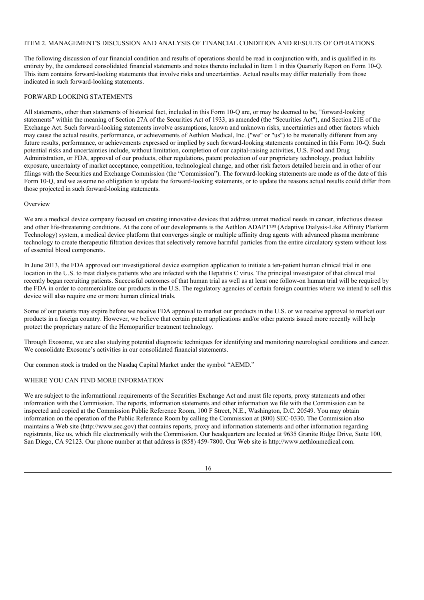## ITEM 2. MANAGEMENT'S DISCUSSION AND ANALYSIS OF FINANCIAL CONDITION AND RESULTS OF OPERATIONS.

The following discussion of our financial condition and results of operations should be read in conjunction with, and is qualified in its entirety by, the condensed consolidated financial statements and notes thereto included in Item 1 in this Quarterly Report on Form 10-Q. This item contains forward-looking statements that involve risks and uncertainties. Actual results may differ materially from those indicated in such forward-looking statements.

## FORWARD LOOKING STATEMENTS

All statements, other than statements of historical fact, included in this Form 10-Q are, or may be deemed to be, "forward-looking statements" within the meaning of Section 27A of the Securities Act of 1933, as amended (the "Securities Act"), and Section 21E of the Exchange Act. Such forward-looking statements involve assumptions, known and unknown risks, uncertainties and other factors which may cause the actual results, performance, or achievements of Aethlon Medical, Inc. ("we" or "us") to be materially different from any future results, performance, or achievements expressed or implied by such forward-looking statements contained in this Form 10-Q. Such potential risks and uncertainties include, without limitation, completion of our capital-raising activities, U.S. Food and Drug Administration, or FDA, approval of our products, other regulations, patent protection of our proprietary technology, product liability exposure, uncertainty of market acceptance, competition, technological change, and other risk factors detailed herein and in other of our filings with the Securities and Exchange Commission (the "Commission"). The forward-looking statements are made as of the date of this Form 10-Q, and we assume no obligation to update the forward-looking statements, or to update the reasons actual results could differ from those projected in such forward-looking statements.

### **Overview**

We are a medical device company focused on creating innovative devices that address unmet medical needs in cancer, infectious disease and other life-threatening conditions. At the core of our developments is the Aethlon ADAPT™ (Adaptive Dialysis-Like Affinity Platform Technology) system, a medical device platform that converges single or multiple affinity drug agents with advanced plasma membrane technology to create therapeutic filtration devices that selectively remove harmful particles from the entire circulatory system without loss of essential blood components.

In June 2013, the FDA approved our investigational device exemption application to initiate a ten-patient human clinical trial in one location in the U.S. to treat dialysis patients who are infected with the Hepatitis C virus. The principal investigator of that clinical trial recently began recruiting patients. Successful outcomes of that human trial as well as at least one follow-on human trial will be required by the FDA in order to commercialize our products in the U.S. The regulatory agencies of certain foreign countries where we intend to sell this device will also require one or more human clinical trials.

Some of our patents may expire before we receive FDA approval to market our products in the U.S. or we receive approval to market our products in a foreign country. However, we believe that certain patent applications and/or other patents issued more recently will help protect the proprietary nature of the Hemopurifier treatment technology.

Through Exosome, we are also studying potential diagnostic techniques for identifying and monitoring neurological conditions and cancer. We consolidate Exosome's activities in our consolidated financial statements.

Our common stock is traded on the Nasdaq Capital Market under the symbol "AEMD."

# WHERE YOU CAN FIND MORE INFORMATION

We are subject to the informational requirements of the Securities Exchange Act and must file reports, proxy statements and other information with the Commission. The reports, information statements and other information we file with the Commission can be inspected and copied at the Commission Public Reference Room, 100 F Street, N.E., Washington, D.C. 20549. You may obtain information on the operation of the Public Reference Room by calling the Commission at (800) SEC-0330. The Commission also maintains a Web site (http://www.sec.gov) that contains reports, proxy and information statements and other information regarding registrants, like us, which file electronically with the Commission. Our headquarters are located at 9635 Granite Ridge Drive, Suite 100, San Diego, CA 92123. Our phone number at that address is (858) 459-7800. Our Web site is http://www.aethlonmedical.com.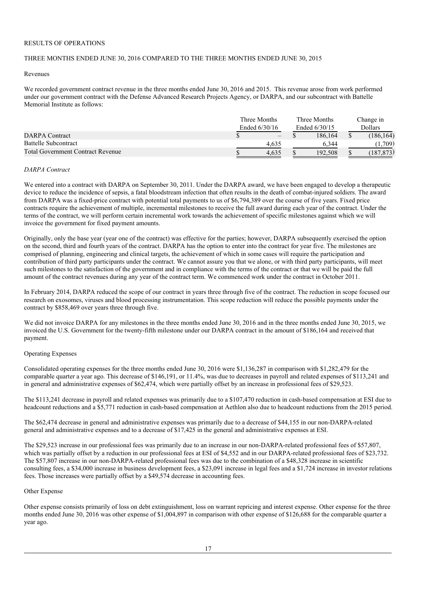# RESULTS OF OPERATIONS

# THREE MONTHS ENDED JUNE 30, 2016 COMPARED TO THE THREE MONTHS ENDED JUNE 30, 2015

#### Revenues

We recorded government contract revenue in the three months ended June 30, 2016 and 2015. This revenue arose from work performed under our government contract with the Defense Advanced Research Projects Agency, or DARPA, and our subcontract with Battelle Memorial Institute as follows:

|                                          |  | Three Months<br>Ended 6/30/16 |  | Three Months<br>Ended 6/30/15 |  | Change in<br>Dollars |  |
|------------------------------------------|--|-------------------------------|--|-------------------------------|--|----------------------|--|
|                                          |  |                               |  |                               |  |                      |  |
| <b>DARPA</b> Contract                    |  | $\qquad \qquad -$             |  | 186,164                       |  | (186, 164)           |  |
| <b>Battelle Subcontract</b>              |  | 4.635                         |  | 6.344                         |  | l.709)               |  |
| <b>Total Government Contract Revenue</b> |  | 4.635                         |  | 192.508                       |  | (187.873)            |  |

#### *DARPA Contract*

We entered into a contract with DARPA on September 30, 2011. Under the DARPA award, we have been engaged to develop a therapeutic device to reduce the incidence of sepsis, a fatal bloodstream infection that often results in the death of combat-injured soldiers. The award from DARPA was a fixed-price contract with potential total payments to us of \$6,794,389 over the course of five years. Fixed price contracts require the achievement of multiple, incremental milestones to receive the full award during each year of the contract. Under the terms of the contract, we will perform certain incremental work towards the achievement of specific milestones against which we will invoice the government for fixed payment amounts.

Originally, only the base year (year one of the contract) was effective for the parties; however, DARPA subsequently exercised the option on the second, third and fourth years of the contract. DARPA has the option to enter into the contract for year five. The milestones are comprised of planning, engineering and clinical targets, the achievement of which in some cases will require the participation and contribution of third party participants under the contract. We cannot assure you that we alone, or with third party participants, will meet such milestones to the satisfaction of the government and in compliance with the terms of the contract or that we will be paid the full amount of the contract revenues during any year of the contract term. We commenced work under the contract in October 2011.

In February 2014, DARPA reduced the scope of our contract in years three through five of the contract. The reduction in scope focused our research on exosomes, viruses and blood processing instrumentation. This scope reduction will reduce the possible payments under the contract by \$858,469 over years three through five.

We did not invoice DARPA for any milestones in the three months ended June 30, 2016 and in the three months ended June 30, 2015, we invoiced the U.S. Government for the twenty-fifth milestone under our DARPA contract in the amount of \$186,164 and received that payment.

#### Operating Expenses

Consolidated operating expenses for the three months ended June 30, 2016 were \$1,136,287 in comparison with \$1,282,479 for the comparable quarter a year ago. This decrease of \$146,191, or 11.4%, was due to decreases in payroll and related expenses of \$113,241 and in general and administrative expenses of \$62,474, which were partially offset by an increase in professional fees of \$29,523.

The \$113,241 decrease in payroll and related expenses was primarily due to a \$107,470 reduction in cash-based compensation at ESI due to headcount reductions and a \$5,771 reduction in cash-based compensation at Aethlon also due to headcount reductions from the 2015 period.

The \$62,474 decrease in general and administrative expenses was primarily due to a decrease of \$44,155 in our non-DARPA-related general and administrative expenses and to a decrease of \$17,425 in the general and administrative expenses at ESI.

The \$29,523 increase in our professional fees was primarily due to an increase in our non-DARPA-related professional fees of \$57,807, which was partially offset by a reduction in our professional fees at ESI of \$4,552 and in our DARPA-related professional fees of \$23,732. The \$57,807 increase in our non-DARPA-related professional fees was due to the combination of a \$48,328 increase in scientific consulting fees, a \$34,000 increase in business development fees, a \$23,091 increase in legal fees and a \$1,724 increase in investor relations fees. Those increases were partially offset by a \$49,574 decrease in accounting fees.

#### Other Expense

Other expense consists primarily of loss on debt extinguishment, loss on warrant repricing and interest expense. Other expense for the three months ended June 30, 2016 was other expense of \$1,004,897 in comparison with other expense of \$126,688 for the comparable quarter a year ago.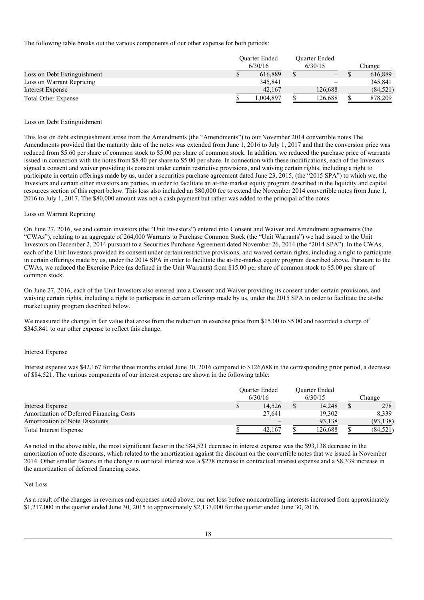The following table breaks out the various components of our other expense for both periods:

|                             | <b>Ouarter Ended</b><br>6/30/16 |          | <b>Ouarter Ended</b><br>6/30/15 |                          |        |           |
|-----------------------------|---------------------------------|----------|---------------------------------|--------------------------|--------|-----------|
|                             |                                 |          |                                 |                          | Change |           |
| Loss on Debt Extinguishment |                                 | 616.889  |                                 | $\qquad \qquad -$        |        | 616,889   |
| Loss on Warrant Repricing   |                                 | 345,841  |                                 | $\overline{\phantom{a}}$ |        | 345,841   |
| Interest Expense            |                                 | 42,167   |                                 | 126,688                  |        | (84, 521) |
| <b>Total Other Expense</b>  |                                 | .004.897 |                                 | 126,688                  |        | 878,209   |

#### Loss on Debt Extinguishment

This loss on debt extinguishment arose from the Amendments (the "Amendments") to our November 2014 convertible notes The Amendments provided that the maturity date of the notes was extended from June 1, 2016 to July 1, 2017 and that the conversion price was reduced from \$5.60 per share of common stock to \$5.00 per share of common stock. In addition, we reduced the purchase price of warrants issued in connection with the notes from \$8.40 per share to \$5.00 per share. In connection with these modifications, each of the Investors signed a consent and waiver providing its consent under certain restrictive provisions, and waiving certain rights, including a right to participate in certain offerings made by us, under a securities purchase agreement dated June 23, 2015, (the "2015 SPA") to which we, the Investors and certain other investors are parties, in order to facilitate an at-the-market equity program described in the liquidity and capital resources section of this report below. This loss also included an \$80,000 fee to extend the November 2014 convertible notes from June 1, 2016 to July 1, 2017. The \$80,000 amount was not a cash payment but rather was added to the principal of the notes

#### Loss on Warrant Repricing

On June 27, 2016, we and certain investors (the "Unit Investors") entered into Consent and Waiver and Amendment agreements (the "CWAs"), relating to an aggregate of 264,000 Warrants to Purchase Common Stock (the "Unit Warrants") we had issued to the Unit Investors on December 2, 2014 pursuant to a Securities Purchase Agreement dated November 26, 2014 (the "2014 SPA"). In the CWAs, each of the Unit Investors provided its consent under certain restrictive provisions, and waived certain rights, including a right to participate in certain offerings made by us, under the 2014 SPA in order to facilitate the at-the-market equity program described above. Pursuant to the CWAs, we reduced the Exercise Price (as defined in the Unit Warrants) from \$15.00 per share of common stock to \$5.00 per share of common stock.

On June 27, 2016, each of the Unit Investors also entered into a Consent and Waiver providing its consent under certain provisions, and waiving certain rights, including a right to participate in certain offerings made by us, under the 2015 SPA in order to facilitate the at-the market equity program described below.

We measured the change in fair value that arose from the reduction in exercise price from \$15.00 to \$5.00 and recorded a charge of \$345,841 to our other expense to reflect this change.

#### Interest Expense

Interest expense was \$42,167 for the three months ended June 30, 2016 compared to \$126,688 in the corresponding prior period, a decrease of \$84,521. The various components of our interest expense are shown in the following table:

|                                          | <b>Ouarter Ended</b><br>6/30/16 |        | <b>Ouarter Ended</b><br>6/30/15 |         | Change |           |
|------------------------------------------|---------------------------------|--------|---------------------------------|---------|--------|-----------|
| Interest Expense                         |                                 | 14.526 |                                 | 14.248  |        | 278       |
| Amortization of Deferred Financing Costs |                                 | 27.641 |                                 | 19,302  |        | 8.339     |
| <b>Amortization of Note Discounts</b>    |                                 |        |                                 | 93.138  |        | (93, 138) |
| <b>Total Interest Expense</b>            |                                 | 42.167 |                                 | 126,688 |        | (84, 521) |

As noted in the above table, the most significant factor in the \$84,521 decrease in interest expense was the \$93,138 decrease in the amortization of note discounts, which related to the amortization against the discount on the convertible notes that we issued in November 2014. Other smaller factors in the change in our total interest was a \$278 increase in contractual interest expense and a \$8,339 increase in the amortization of deferred financing costs.

#### Net Loss

As a result of the changes in revenues and expenses noted above, our net loss before noncontrolling interests increased from approximately \$1,217,000 in the quarter ended June 30, 2015 to approximately \$2,137,000 for the quarter ended June 30, 2016.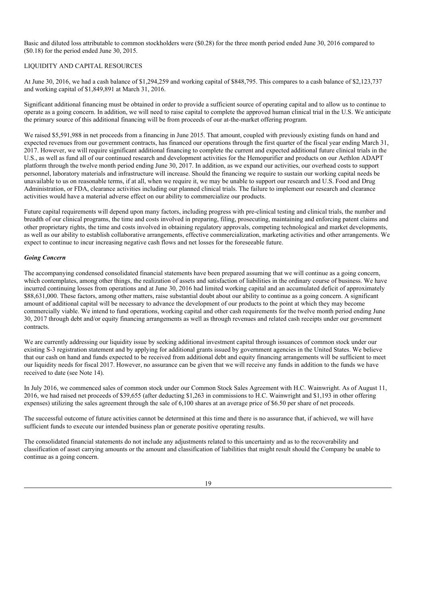Basic and diluted loss attributable to common stockholders were (\$0.28) for the three month period ended June 30, 2016 compared to (\$0.18) for the period ended June 30, 2015.

# LIQUIDITY AND CAPITAL RESOURCES

At June 30, 2016, we had a cash balance of \$1,294,259 and working capital of \$848,795. This compares to a cash balance of \$2,123,737 and working capital of \$1,849,891 at March 31, 2016.

Significant additional financing must be obtained in order to provide a sufficient source of operating capital and to allow us to continue to operate as a going concern. In addition, we will need to raise capital to complete the approved human clinical trial in the U.S. We anticipate the primary source of this additional financing will be from proceeds of our at-the-market offering program.

We raised \$5,591,988 in net proceeds from a financing in June 2015. That amount, coupled with previously existing funds on hand and expected revenues from our government contracts, has financed our operations through the first quarter of the fiscal year ending March 31, 2017. However, we will require significant additional financing to complete the current and expected additional future clinical trials in the U.S., as well as fund all of our continued research and development activities for the Hemopurifier and products on our Aethlon ADAPT platform through the twelve month period ending June 30, 2017. In addition, as we expand our activities, our overhead costs to support personnel, laboratory materials and infrastructure will increase. Should the financing we require to sustain our working capital needs be unavailable to us on reasonable terms, if at all, when we require it, we may be unable to support our research and U.S. Food and Drug Administration, or FDA, clearance activities including our planned clinical trials. The failure to implement our research and clearance activities would have a material adverse effect on our ability to commercialize our products.

Future capital requirements will depend upon many factors, including progress with pre-clinical testing and clinical trials, the number and breadth of our clinical programs, the time and costs involved in preparing, filing, prosecuting, maintaining and enforcing patent claims and other proprietary rights, the time and costs involved in obtaining regulatory approvals, competing technological and market developments, as well as our ability to establish collaborative arrangements, effective commercialization, marketing activities and other arrangements. We expect to continue to incur increasing negative cash flows and net losses for the foreseeable future.

### *Going Concern*

The accompanying condensed consolidated financial statements have been prepared assuming that we will continue as a going concern, which contemplates, among other things, the realization of assets and satisfaction of liabilities in the ordinary course of business. We have incurred continuing losses from operations and at June 30, 2016 had limited working capital and an accumulated deficit of approximately \$88,631,000. These factors, among other matters, raise substantial doubt about our ability to continue as a going concern. A significant amount of additional capital will be necessary to advance the development of our products to the point at which they may become commercially viable. We intend to fund operations, working capital and other cash requirements for the twelve month period ending June 30, 2017 through debt and/or equity financing arrangements as well as through revenues and related cash receipts under our government contracts.

We are currently addressing our liquidity issue by seeking additional investment capital through issuances of common stock under our existing S-3 registration statement and by applying for additional grants issued by government agencies in the United States. We believe that our cash on hand and funds expected to be received from additional debt and equity financing arrangements will be sufficient to meet our liquidity needs for fiscal 2017. However, no assurance can be given that we will receive any funds in addition to the funds we have received to date (see Note 14).

In July 2016, we commenced sales of common stock under our Common Stock Sales Agreement with H.C. Wainwright. As of August 11, 2016, we had raised net proceeds of \$39,655 (after deducting \$1,263 in commissions to H.C. Wainwright and \$1,193 in other offering expenses) utilizing the sales agreement through the sale of 6,100 shares at an average price of \$6.50 per share of net proceeds.

The successful outcome of future activities cannot be determined at this time and there is no assurance that, if achieved, we will have sufficient funds to execute our intended business plan or generate positive operating results.

The consolidated financial statements do not include any adjustments related to this uncertainty and as to the recoverability and classification of asset carrying amounts or the amount and classification of liabilities that might result should the Company be unable to continue as a going concern.

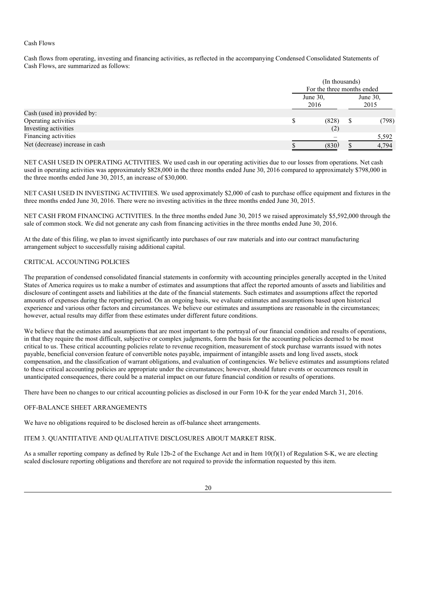## Cash Flows

Cash flows from operating, investing and financing activities, as reflected in the accompanying Condensed Consolidated Statements of Cash Flows, are summarized as follows:

|                                 | (In thousands)<br>For the three months ended |  |                  |  |  |
|---------------------------------|----------------------------------------------|--|------------------|--|--|
|                                 | June 30,<br>2016                             |  | June 30,<br>2015 |  |  |
| Cash (used in) provided by:     |                                              |  |                  |  |  |
| Operating activities            | (828)                                        |  | (798)            |  |  |
| Investing activities            | (2)                                          |  |                  |  |  |
| Financing activities            |                                              |  | 5,592            |  |  |
| Net (decrease) increase in cash | (830)                                        |  | 4,794            |  |  |

NET CASH USED IN OPERATING ACTIVITIES. We used cash in our operating activities due to our losses from operations. Net cash used in operating activities was approximately \$828,000 in the three months ended June 30, 2016 compared to approximately \$798,000 in the three months ended June 30, 2015, an increase of \$30,000.

NET CASH USED IN INVESTING ACTIVITIES. We used approximately \$2,000 of cash to purchase office equipment and fixtures in the three months ended June 30, 2016. There were no investing activities in the three months ended June 30, 2015.

NET CASH FROM FINANCING ACTIVITIES. In the three months ended June 30, 2015 we raised approximately \$5,592,000 through the sale of common stock. We did not generate any cash from financing activities in the three months ended June 30, 2016.

At the date of this filing, we plan to invest significantly into purchases of our raw materials and into our contract manufacturing arrangement subject to successfully raising additional capital.

## CRITICAL ACCOUNTING POLICIES

The preparation of condensed consolidated financial statements in conformity with accounting principles generally accepted in the United States of America requires us to make a number of estimates and assumptions that affect the reported amounts of assets and liabilities and disclosure of contingent assets and liabilities at the date of the financial statements. Such estimates and assumptions affect the reported amounts of expenses during the reporting period. On an ongoing basis, we evaluate estimates and assumptions based upon historical experience and various other factors and circumstances. We believe our estimates and assumptions are reasonable in the circumstances; however, actual results may differ from these estimates under different future conditions.

We believe that the estimates and assumptions that are most important to the portrayal of our financial condition and results of operations, in that they require the most difficult, subjective or complex judgments, form the basis for the accounting policies deemed to be most critical to us. These critical accounting policies relate to revenue recognition, measurement of stock purchase warrants issued with notes payable, beneficial conversion feature of convertible notes payable, impairment of intangible assets and long lived assets, stock compensation, and the classification of warrant obligations, and evaluation of contingencies. We believe estimates and assumptions related to these critical accounting policies are appropriate under the circumstances; however, should future events or occurrences result in unanticipated consequences, there could be a material impact on our future financial condition or results of operations.

There have been no changes to our critical accounting policies as disclosed in our Form 10-K for the year ended March 31, 2016.

### OFF-BALANCE SHEET ARRANGEMENTS

We have no obligations required to be disclosed herein as off-balance sheet arrangements.

## ITEM 3. QUANTITATIVE AND QUALITATIVE DISCLOSURES ABOUT MARKET RISK.

As a smaller reporting company as defined by Rule 12b-2 of the Exchange Act and in Item 10(f)(1) of Regulation S-K, we are electing scaled disclosure reporting obligations and therefore are not required to provide the information requested by this item.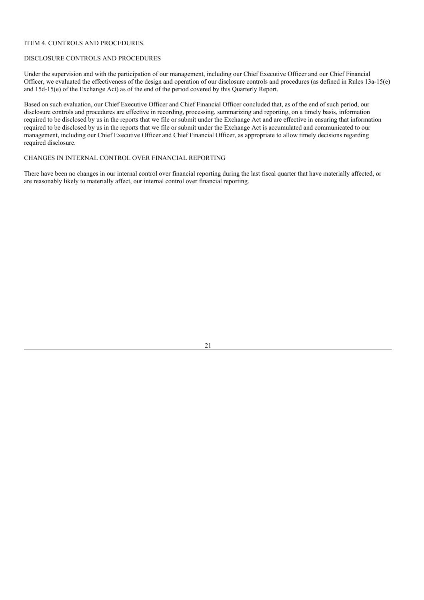## ITEM 4. CONTROLS AND PROCEDURES.

#### DISCLOSURE CONTROLS AND PROCEDURES

Under the supervision and with the participation of our management, including our Chief Executive Officer and our Chief Financial Officer, we evaluated the effectiveness of the design and operation of our disclosure controls and procedures (as defined in Rules 13a-15(e) and 15d-15(e) of the Exchange Act) as of the end of the period covered by this Quarterly Report.

Based on such evaluation, our Chief Executive Officer and Chief Financial Officer concluded that, as of the end of such period, our disclosure controls and procedures are effective in recording, processing, summarizing and reporting, on a timely basis, information required to be disclosed by us in the reports that we file or submit under the Exchange Act and are effective in ensuring that information required to be disclosed by us in the reports that we file or submit under the Exchange Act is accumulated and communicated to our management, including our Chief Executive Officer and Chief Financial Officer, as appropriate to allow timely decisions regarding required disclosure.

## CHANGES IN INTERNAL CONTROL OVER FINANCIAL REPORTING

There have been no changes in our internal control over financial reporting during the last fiscal quarter that have materially affected, or are reasonably likely to materially affect, our internal control over financial reporting.

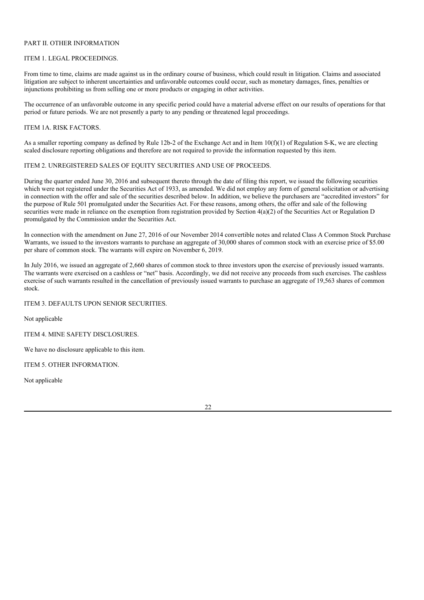# PART II. OTHER INFORMATION

## ITEM 1. LEGAL PROCEEDINGS.

From time to time, claims are made against us in the ordinary course of business, which could result in litigation. Claims and associated litigation are subject to inherent uncertainties and unfavorable outcomes could occur, such as monetary damages, fines, penalties or injunctions prohibiting us from selling one or more products or engaging in other activities.

The occurrence of an unfavorable outcome in any specific period could have a material adverse effect on our results of operations for that period or future periods. We are not presently a party to any pending or threatened legal proceedings.

#### ITEM 1A. RISK FACTORS.

As a smaller reporting company as defined by Rule 12b-2 of the Exchange Act and in Item 10(f)(1) of Regulation S-K, we are electing scaled disclosure reporting obligations and therefore are not required to provide the information requested by this item.

### ITEM 2. UNREGISTERED SALES OF EQUITY SECURITIES AND USE OF PROCEEDS.

During the quarter ended June 30, 2016 and subsequent thereto through the date of filing this report, we issued the following securities which were not registered under the Securities Act of 1933, as amended. We did not employ any form of general solicitation or advertising in connection with the offer and sale of the securities described below. In addition, we believe the purchasers are "accredited investors" for the purpose of Rule 501 promulgated under the Securities Act. For these reasons, among others, the offer and sale of the following securities were made in reliance on the exemption from registration provided by Section  $4(a)(2)$  of the Securities Act or Regulation D promulgated by the Commission under the Securities Act.

In connection with the amendment on June 27, 2016 of our November 2014 convertible notes and related Class A Common Stock Purchase Warrants, we issued to the investors warrants to purchase an aggregate of 30,000 shares of common stock with an exercise price of \$5.00 per share of common stock. The warrants will expire on November 6, 2019.

In July 2016, we issued an aggregate of 2,660 shares of common stock to three investors upon the exercise of previously issued warrants. The warrants were exercised on a cashless or "net" basis. Accordingly, we did not receive any proceeds from such exercises. The cashless exercise of such warrants resulted in the cancellation of previously issued warrants to purchase an aggregate of 19,563 shares of common stock.

ITEM 3. DEFAULTS UPON SENIOR SECURITIES.

Not applicable

ITEM 4. MINE SAFETY DISCLOSURES.

We have no disclosure applicable to this item.

ITEM 5. OTHER INFORMATION.

Not applicable

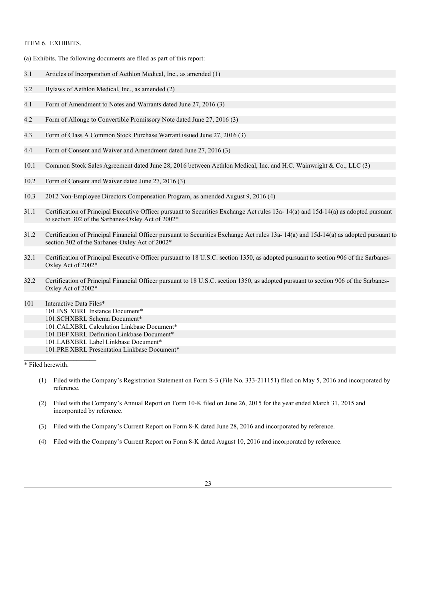## ITEM 6. EXHIBITS.

(a) Exhibits. The following documents are filed as part of this report:

- 3.1 Articles of Incorporation of Aethlon Medical, Inc., as amended (1)
- 3.2 Bylaws of Aethlon Medical, Inc., as amended (2)
- 4.1 Form of Amendment to Notes and Warrants dated June 27, 2016 (3)
- 4.2 Form of Allonge to Convertible Promissory Note dated June 27, 2016 (3)
- 4.3 Form of Class A Common Stock Purchase Warrant issued June 27, 2016 (3)
- 4.4 Form of Consent and Waiver and Amendment dated June 27, 2016 (3)
- 10.1 Common Stock Sales Agreement dated June 28, 2016 between Aethlon Medical, Inc. and H.C. Wainwright & Co., LLC (3)
- 10.2 Form of Consent and Waiver dated June 27, 2016 (3)
- 10.3 2012 Non-Employee Directors Compensation Program, as amended August 9, 2016 (4)
- 31.1 Certification of Principal Executive Officer pursuant to Securities Exchange Act rules 13a- 14(a) and 15d-14(a) as adopted pursuant to section 302 of the Sarbanes-Oxley Act of 2002\*
- 31.2 Certification of Principal Financial Officer pursuant to Securities Exchange Act rules 13a- 14(a) and 15d-14(a) as adopted pursuant to section 302 of the Sarbanes-Oxley Act of 2002\*
- 32.1 Certification of Principal Executive Officer pursuant to 18 U.S.C. section 1350, as adopted pursuant to section 906 of the Sarbanes-Oxley Act of 2002\*
- 32.2 Certification of Principal Financial Officer pursuant to 18 U.S.C. section 1350, as adopted pursuant to section 906 of the Sarbanes-Oxley Act of 2002\*
- 101 Interactive Data Files\* 101.INS XBRL Instance Document\* 101.SCHXBRL Schema Document\* 101.CALXBRL Calculation Linkbase Document\* 101.DEFXBRL Definition Linkbase Document\* 101.LABXBRL Label Linkbase Document\* 101.PRE XBRL Presentation Linkbase Document\*

\* Filed herewith.

- (1) Filed with the Company's Registration Statement on Form S-3 (File No. 333-211151) filed on May 5, 2016 and incorporated by reference.
- (2) Filed with the Company's Annual Report on Form 10-K filed on June 26, 2015 for the year ended March 31, 2015 and incorporated by reference.
- (3) Filed with the Company's Current Report on Form 8-K dated June 28, 2016 and incorporated by reference.
- (4) Filed with the Company's Current Report on Form 8-K dated August 10, 2016 and incorporated by reference.
	- 23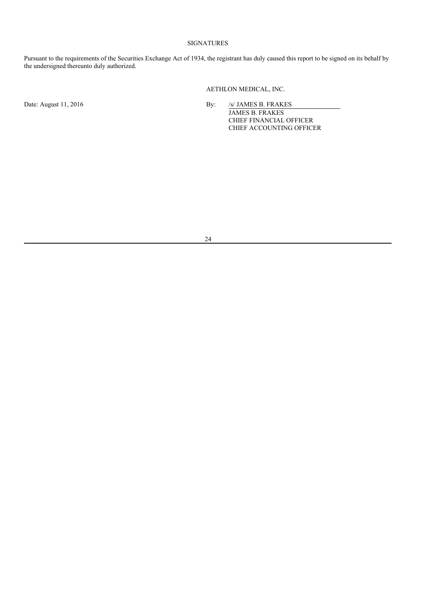# SIGNATURES

Pursuant to the requirements of the Securities Exchange Act of 1934, the registrant has duly caused this report to be signed on its behalf by the undersigned thereunto duly authorized.

AETHLON MEDICAL, INC.

Date: August 11, 2016 **By:** *SI* JAMES B. FRAKES

JAMES B. FRAKES CHIEF FINANCIAL OFFICER CHIEF ACCOUNTING OFFICER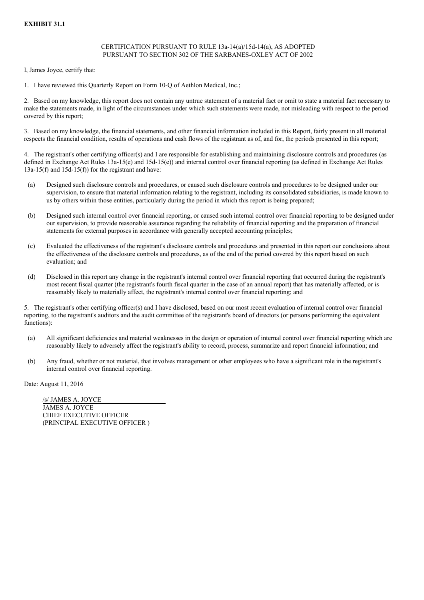## CERTIFICATION PURSUANT TO RULE 13a-14(a)/15d-14(a), AS ADOPTED PURSUANT TO SECTION 302 OF THE SARBANES-OXLEY ACT OF 2002

I, James Joyce, certify that:

1. I have reviewed this Quarterly Report on Form 10-Q of Aethlon Medical, Inc.;

2. Based on my knowledge, this report does not contain any untrue statement of a material fact or omit to state a material fact necessary to make the statements made, in light of the circumstances under which such statements were made, not misleading with respect to the period covered by this report;

3. Based on my knowledge, the financial statements, and other financial information included in this Report, fairly present in all material respects the financial condition, results of operations and cash flows of the registrant as of, and for, the periods presented in this report;

4. The registrant's other certifying officer(s) and I are responsible for establishing and maintaining disclosure controls and procedures (as defined in Exchange Act Rules 13a-15(e) and 15d-15(e)) and internal control over financial reporting (as defined in Exchange Act Rules  $13a-15(f)$  and  $15d-15(f)$  for the registrant and have:

- (a) Designed such disclosure controls and procedures, or caused such disclosure controls and procedures to be designed under our supervision, to ensure that material information relating to the registrant, including its consolidated subsidiaries, is made known to us by others within those entities, particularly during the period in which this report is being prepared;
- (b) Designed such internal control over financial reporting, or caused such internal control over financial reporting to be designed under our supervision, to provide reasonable assurance regarding the reliability of financial reporting and the preparation of financial statements for external purposes in accordance with generally accepted accounting principles;
- (c) Evaluated the effectiveness of the registrant's disclosure controls and procedures and presented in this report our conclusions about the effectiveness of the disclosure controls and procedures, as of the end of the period covered by this report based on such evaluation; and
- (d) Disclosed in this report any change in the registrant's internal control over financial reporting that occurred during the registrant's most recent fiscal quarter (the registrant's fourth fiscal quarter in the case of an annual report) that has materially affected, or is reasonably likely to materially affect, the registrant's internal control over financial reporting; and

5. The registrant's other certifying officer(s) and I have disclosed, based on our most recent evaluation of internal control over financial reporting, to the registrant's auditors and the audit committee of the registrant's board of directors (or persons performing the equivalent functions):

- (a) All significant deficiencies and material weaknesses in the design or operation of internal control over financial reporting which are reasonably likely to adversely affect the registrant's ability to record, process, summarize and report financial information; and
- (b) Any fraud, whether or not material, that involves management or other employees who have a significant role in the registrant's internal control over financial reporting.

Date: August 11, 2016

/s/ JAMES A. JOYCE JAMES A. JOYCE CHIEF EXECUTIVE OFFICER (PRINCIPAL EXECUTIVE OFFICER )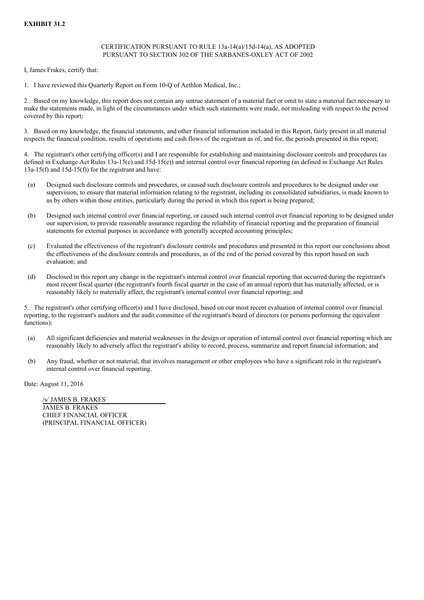## CERTIFICATION PURSUANT TO RULE 13a-14(a)/15d-14(a), AS ADOPTED PURSUANT TO SECTION 302 OF THE SARBANES-OXLEY ACT OF 2002

I, James Frakes, certify that:

1. I have reviewed this Quarterly Report on Form 10-Q of Aethlon Medical, Inc.;

2. Based on my knowledge, this report does not contain any untrue statement of a material fact or omit to state a material fact necessary to make the statements made, in light of the circumstances under which such statements were made, not misleading with respect to the period covered by this report;

3. Based on my knowledge, the financial statements, and other financial information included in this Report, fairly present in all material respects the financial condition, results of operations and cash flows of the registrant as of, and for, the periods presented in this report;

4. The registrant's other certifying officer(s) and I are responsible for establishing and maintaining disclosure controls and procedures (as defined in Exchange Act Rules 13a-15(e) and 15d-15(e)) and internal control over financial reporting (as defined in Exchange Act Rules  $13a-15(f)$  and  $15d-15(f)$  for the registrant and have:

- (a) Designed such disclosure controls and procedures, or caused such disclosure controls and procedures to be designed under our supervision, to ensure that material information relating to the registrant, including its consolidated subsidiaries, is made known to us by others within those entities, particularly during the period in which this report is being prepared;
- (b) Designed such internal control over financial reporting, or caused such internal control over financial reporting to be designed under our supervision, to provide reasonable assurance regarding the reliability of financial reporting and the preparation of financial statements for external purposes in accordance with generally accepted accounting principles;
- (c) Evaluated the effectiveness of the registrant's disclosure controls and procedures and presented in this report our conclusions about the effectiveness of the disclosure controls and procedures, as of the end of the period covered by this report based on such evaluation; and
- (d) Disclosed in this report any change in the registrant's internal control over financial reporting that occurred during the registrant's most recent fiscal quarter (the registrant's fourth fiscal quarter in the case of an annual report) that has materially affected, or is reasonably likely to materially affect, the registrant's internal control over financial reporting; and

5. The registrant's other certifying officer(s) and I have disclosed, based on our most recent evaluation of internal control over financial reporting, to the registrant's auditors and the audit committee of the registrant's board of directors (or persons performing the equivalent functions):

- (a) All significant deficiencies and material weaknesses in the design or operation of internal control over financial reporting which are reasonably likely to adversely affect the registrant's ability to record, process, summarize and report financial information; and
- (b) Any fraud, whether or not material, that involves management or other employees who have a significant role in the registrant's internal control over financial reporting.

Date: August 11, 2016

/s/ JAMES B. FRAKES JAMES B. FRAKES CHIEF FINANCIAL OFFICER (PRINCIPAL FINANCIAL OFFICER)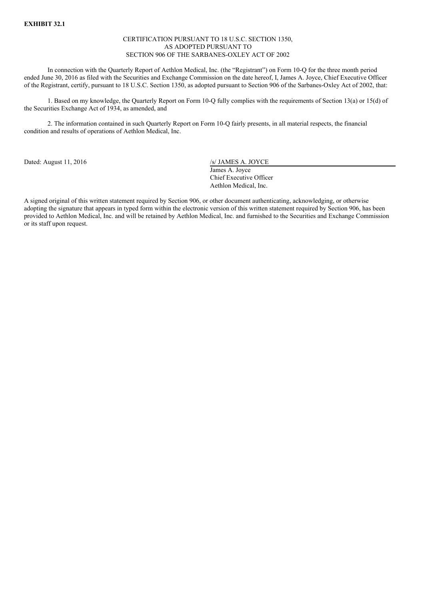#### CERTIFICATION PURSUANT TO 18 U.S.C. SECTION 1350, AS ADOPTED PURSUANT TO SECTION 906 OF THE SARBANES-OXLEY ACT OF 2002

In connection with the Quarterly Report of Aethlon Medical, Inc. (the "Registrant") on Form 10-Q for the three month period ended June 30, 2016 as filed with the Securities and Exchange Commission on the date hereof, I, James A. Joyce, Chief Executive Officer of the Registrant, certify, pursuant to 18 U.S.C. Section 1350, as adopted pursuant to Section 906 of the Sarbanes-Oxley Act of 2002, that:

1. Based on my knowledge, the Quarterly Report on Form 10-Q fully complies with the requirements of Section 13(a) or 15(d) of the Securities Exchange Act of 1934, as amended, and

2. The information contained in such Quarterly Report on Form 10-Q fairly presents, in all material respects, the financial condition and results of operations of Aethlon Medical, Inc.

Dated: August 11, 2016 /s/ JAMES A. JOYCE

James A. Joyce Chief Executive Officer Aethlon Medical, Inc.

A signed original of this written statement required by Section 906, or other document authenticating, acknowledging, or otherwise adopting the signature that appears in typed form within the electronic version of this written statement required by Section 906, has been provided to Aethlon Medical, Inc. and will be retained by Aethlon Medical, Inc. and furnished to the Securities and Exchange Commission or its staff upon request.